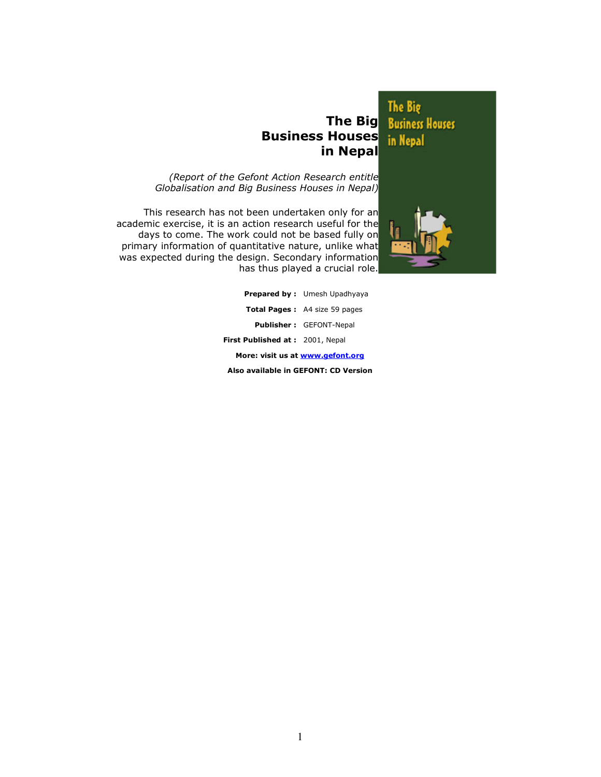# Business Houses in Nepal

The Big<br>The Big Business Houses in Nepal

(Report of the Gefont Action Research entitle Globalisation and Big Business Houses in Nepal)

This research has not been undertaken only for an academic exercise, it is an action research useful for the days to come. The work could not be based fully on primary information of quantitative nature, unlike what was expected during the design. Secondary information has thus played a crucial role.



|                                      | <b>Prepared by:</b> Umesh Upadhyaya  |  |  |  |
|--------------------------------------|--------------------------------------|--|--|--|
|                                      | <b>Total Pages:</b> A4 size 59 pages |  |  |  |
|                                      | <b>Publisher: GEFONT-Nepal</b>       |  |  |  |
| First Published at: 2001, Nepal      |                                      |  |  |  |
| More: visit us at www.gefont.org     |                                      |  |  |  |
| Also available in GEFONT: CD Version |                                      |  |  |  |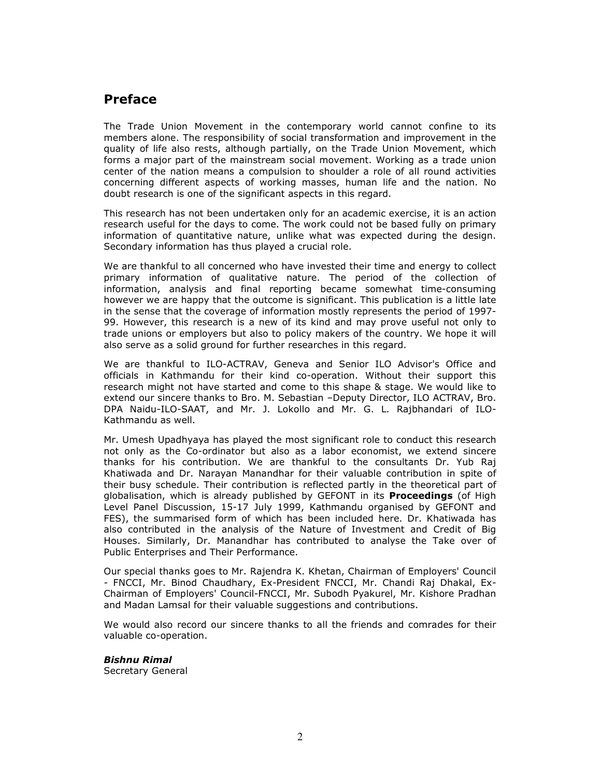# Preface

The Trade Union Movement in the contemporary world cannot confine to its members alone. The responsibility of social transformation and improvement in the quality of life also rests, although partially, on the Trade Union Movement, which forms a major part of the mainstream social movement. Working as a trade union center of the nation means a compulsion to shoulder a role of all round activities concerning different aspects of working masses, human life and the nation. No doubt research is one of the significant aspects in this regard.

This research has not been undertaken only for an academic exercise, it is an action research useful for the days to come. The work could not be based fully on primary information of quantitative nature, unlike what was expected during the design. Secondary information has thus played a crucial role.

We are thankful to all concerned who have invested their time and energy to collect primary information of qualitative nature. The period of the collection of information, analysis and final reporting became somewhat time-consuming however we are happy that the outcome is significant. This publication is a little late in the sense that the coverage of information mostly represents the period of 1997- 99. However, this research is a new of its kind and may prove useful not only to trade unions or employers but also to policy makers of the country. We hope it will also serve as a solid ground for further researches in this regard.

We are thankful to ILO-ACTRAV, Geneva and Senior ILO Advisor's Office and officials in Kathmandu for their kind co-operation. Without their support this research might not have started and come to this shape & stage. We would like to extend our sincere thanks to Bro. M. Sebastian –Deputy Director, ILO ACTRAV, Bro. DPA Naidu-ILO-SAAT, and Mr. J. Lokollo and Mr. G. L. Rajbhandari of ILO-Kathmandu as well.

Mr. Umesh Upadhyaya has played the most significant role to conduct this research not only as the Co-ordinator but also as a labor economist, we extend sincere thanks for his contribution. We are thankful to the consultants Dr. Yub Raj Khatiwada and Dr. Narayan Manandhar for their valuable contribution in spite of their busy schedule. Their contribution is reflected partly in the theoretical part of globalisation, which is already published by GEFONT in its **Proceedings** (of High Level Panel Discussion, 15-17 July 1999, Kathmandu organised by GEFONT and FES), the summarised form of which has been included here. Dr. Khatiwada has also contributed in the analysis of the Nature of Investment and Credit of Big Houses. Similarly, Dr. Manandhar has contributed to analyse the Take over of Public Enterprises and Their Performance.

Our special thanks goes to Mr. Rajendra K. Khetan, Chairman of Employers' Council - FNCCI, Mr. Binod Chaudhary, Ex-President FNCCI, Mr. Chandi Raj Dhakal, Ex-Chairman of Employers' Council-FNCCI, Mr. Subodh Pyakurel, Mr. Kishore Pradhan and Madan Lamsal for their valuable suggestions and contributions.

We would also record our sincere thanks to all the friends and comrades for their valuable co-operation.

Bishnu Rimal Secretary General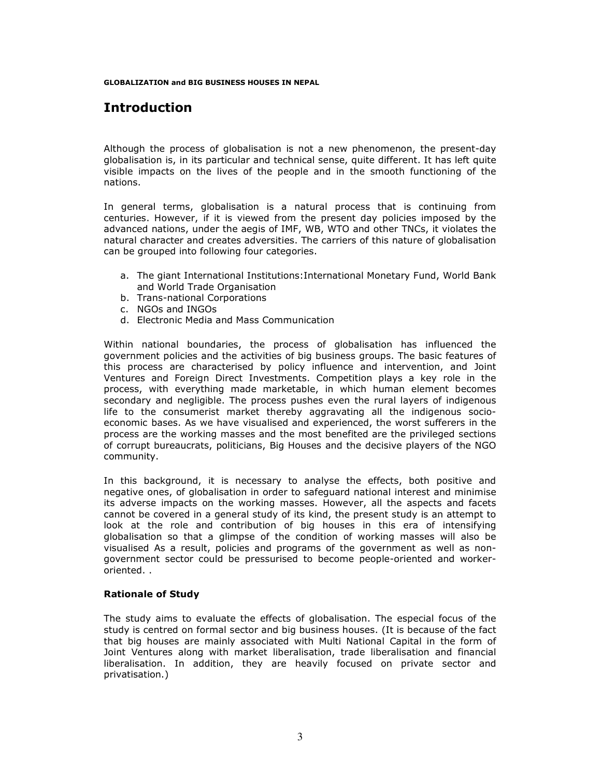GLOBALIZATION and BIG BUSINESS HOUSES IN NEPAL

# Introduction

Although the process of globalisation is not a new phenomenon, the present-day globalisation is, in its particular and technical sense, quite different. It has left quite visible impacts on the lives of the people and in the smooth functioning of the nations.

In general terms, globalisation is a natural process that is continuing from centuries. However, if it is viewed from the present day policies imposed by the advanced nations, under the aegis of IMF, WB, WTO and other TNCs, it violates the natural character and creates adversities. The carriers of this nature of globalisation can be grouped into following four categories.

- a. The giant International Institutions:International Monetary Fund, World Bank and World Trade Organisation
- b. Trans-national Corporations
- c. NGOs and INGOs
- d. Electronic Media and Mass Communication

Within national boundaries, the process of globalisation has influenced the government policies and the activities of big business groups. The basic features of this process are characterised by policy influence and intervention, and Joint Ventures and Foreign Direct Investments. Competition plays a key role in the process, with everything made marketable, in which human element becomes secondary and negligible. The process pushes even the rural layers of indigenous life to the consumerist market thereby aggravating all the indigenous socioeconomic bases. As we have visualised and experienced, the worst sufferers in the process are the working masses and the most benefited are the privileged sections of corrupt bureaucrats, politicians, Big Houses and the decisive players of the NGO community.

In this background, it is necessary to analyse the effects, both positive and negative ones, of globalisation in order to safeguard national interest and minimise its adverse impacts on the working masses. However, all the aspects and facets cannot be covered in a general study of its kind, the present study is an attempt to look at the role and contribution of big houses in this era of intensifying globalisation so that a glimpse of the condition of working masses will also be visualised As a result, policies and programs of the government as well as nongovernment sector could be pressurised to become people-oriented and workeroriented. .

### Rationale of Study

The study aims to evaluate the effects of globalisation. The especial focus of the study is centred on formal sector and big business houses. (It is because of the fact that big houses are mainly associated with Multi National Capital in the form of Joint Ventures along with market liberalisation, trade liberalisation and financial liberalisation. In addition, they are heavily focused on private sector and privatisation.)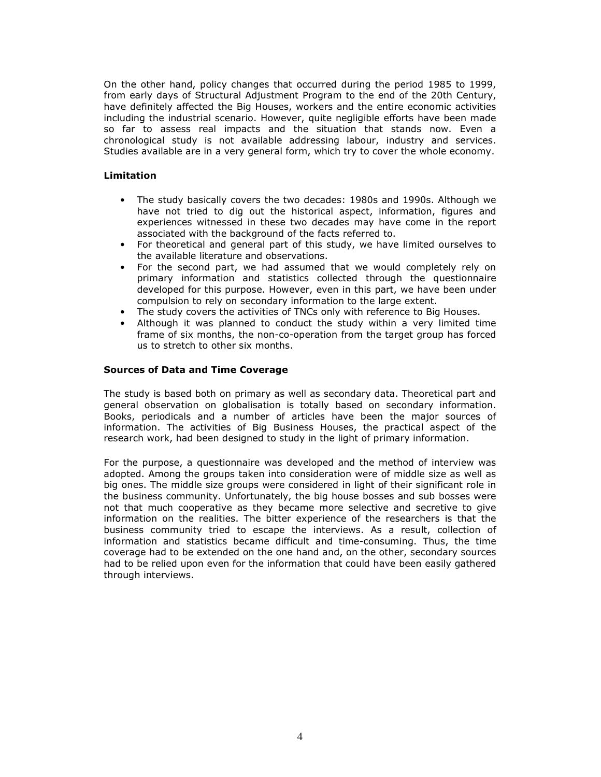On the other hand, policy changes that occurred during the period 1985 to 1999, from early days of Structural Adjustment Program to the end of the 20th Century, have definitely affected the Big Houses, workers and the entire economic activities including the industrial scenario. However, quite negligible efforts have been made so far to assess real impacts and the situation that stands now. Even a chronological study is not available addressing labour, industry and services. Studies available are in a very general form, which try to cover the whole economy.

### Limitation

- The study basically covers the two decades: 1980s and 1990s. Although we have not tried to dig out the historical aspect, information, figures and experiences witnessed in these two decades may have come in the report associated with the background of the facts referred to.
- For theoretical and general part of this study, we have limited ourselves to the available literature and observations.
- For the second part, we had assumed that we would completely rely on primary information and statistics collected through the questionnaire developed for this purpose. However, even in this part, we have been under compulsion to rely on secondary information to the large extent.
- The study covers the activities of TNCs only with reference to Big Houses.
- Although it was planned to conduct the study within a very limited time frame of six months, the non-co-operation from the target group has forced us to stretch to other six months.

### Sources of Data and Time Coverage

The study is based both on primary as well as secondary data. Theoretical part and general observation on globalisation is totally based on secondary information. Books, periodicals and a number of articles have been the major sources of information. The activities of Big Business Houses, the practical aspect of the research work, had been designed to study in the light of primary information.

For the purpose, a questionnaire was developed and the method of interview was adopted. Among the groups taken into consideration were of middle size as well as big ones. The middle size groups were considered in light of their significant role in the business community. Unfortunately, the big house bosses and sub bosses were not that much cooperative as they became more selective and secretive to give information on the realities. The bitter experience of the researchers is that the business community tried to escape the interviews. As a result, collection of information and statistics became difficult and time-consuming. Thus, the time coverage had to be extended on the one hand and, on the other, secondary sources had to be relied upon even for the information that could have been easily gathered through interviews.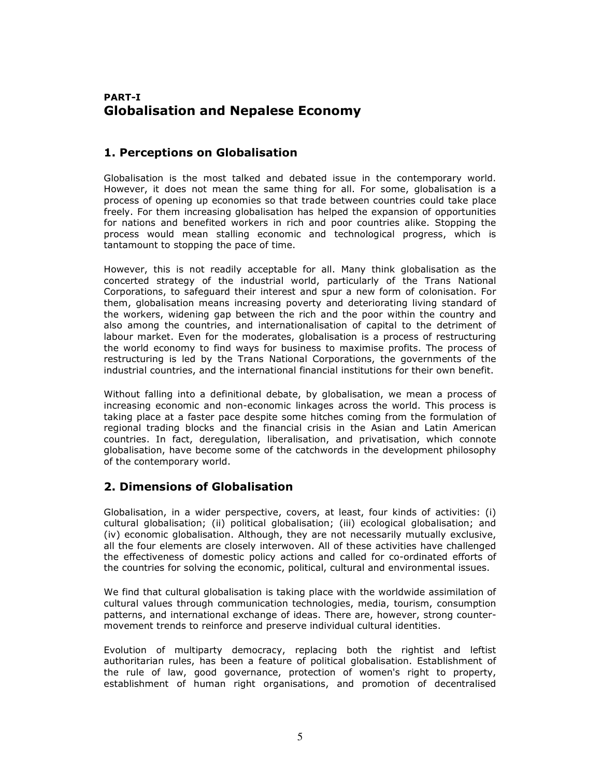# PART-I Globalisation and Nepalese Economy

# 1. Perceptions on Globalisation

Globalisation is the most talked and debated issue in the contemporary world. However, it does not mean the same thing for all. For some, globalisation is a process of opening up economies so that trade between countries could take place freely. For them increasing globalisation has helped the expansion of opportunities for nations and benefited workers in rich and poor countries alike. Stopping the process would mean stalling economic and technological progress, which is tantamount to stopping the pace of time.

However, this is not readily acceptable for all. Many think globalisation as the concerted strategy of the industrial world, particularly of the Trans National Corporations, to safeguard their interest and spur a new form of colonisation. For them, globalisation means increasing poverty and deteriorating living standard of the workers, widening gap between the rich and the poor within the country and also among the countries, and internationalisation of capital to the detriment of labour market. Even for the moderates, globalisation is a process of restructuring the world economy to find ways for business to maximise profits. The process of restructuring is led by the Trans National Corporations, the governments of the industrial countries, and the international financial institutions for their own benefit.

Without falling into a definitional debate, by globalisation, we mean a process of increasing economic and non-economic linkages across the world. This process is taking place at a faster pace despite some hitches coming from the formulation of regional trading blocks and the financial crisis in the Asian and Latin American countries. In fact, deregulation, liberalisation, and privatisation, which connote globalisation, have become some of the catchwords in the development philosophy of the contemporary world.

# 2. Dimensions of Globalisation

Globalisation, in a wider perspective, covers, at least, four kinds of activities: (i) cultural globalisation; (ii) political globalisation; (iii) ecological globalisation; and (iv) economic globalisation. Although, they are not necessarily mutually exclusive, all the four elements are closely interwoven. All of these activities have challenged the effectiveness of domestic policy actions and called for co-ordinated efforts of the countries for solving the economic, political, cultural and environmental issues.

We find that cultural globalisation is taking place with the worldwide assimilation of cultural values through communication technologies, media, tourism, consumption patterns, and international exchange of ideas. There are, however, strong countermovement trends to reinforce and preserve individual cultural identities.

Evolution of multiparty democracy, replacing both the rightist and leftist authoritarian rules, has been a feature of political globalisation. Establishment of the rule of law, good governance, protection of women's right to property, establishment of human right organisations, and promotion of decentralised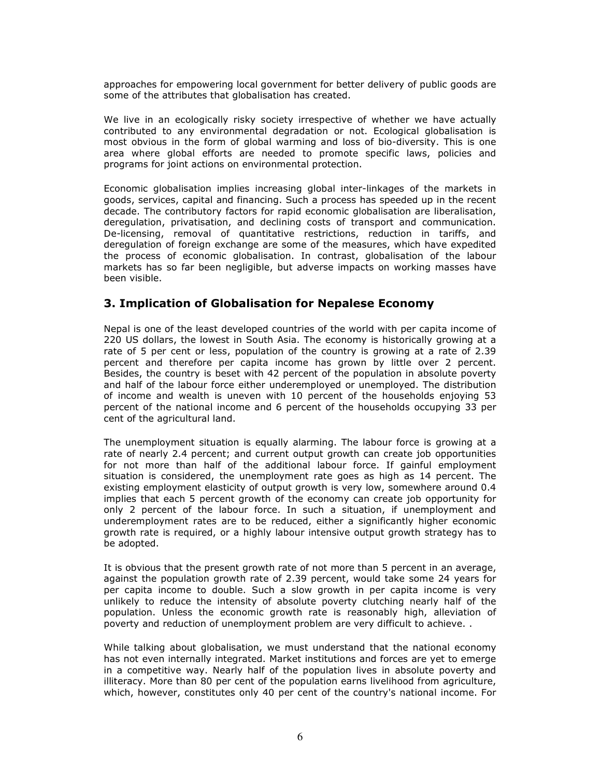approaches for empowering local government for better delivery of public goods are some of the attributes that globalisation has created.

We live in an ecologically risky society irrespective of whether we have actually contributed to any environmental degradation or not. Ecological globalisation is most obvious in the form of global warming and loss of bio-diversity. This is one area where global efforts are needed to promote specific laws, policies and programs for joint actions on environmental protection.

Economic globalisation implies increasing global inter-linkages of the markets in goods, services, capital and financing. Such a process has speeded up in the recent decade. The contributory factors for rapid economic globalisation are liberalisation, deregulation, privatisation, and declining costs of transport and communication. De-licensing, removal of quantitative restrictions, reduction in tariffs, and deregulation of foreign exchange are some of the measures, which have expedited the process of economic globalisation. In contrast, globalisation of the labour markets has so far been negligible, but adverse impacts on working masses have been visible.

# 3. Implication of Globalisation for Nepalese Economy

Nepal is one of the least developed countries of the world with per capita income of 220 US dollars, the lowest in South Asia. The economy is historically growing at a rate of 5 per cent or less, population of the country is growing at a rate of 2.39 percent and therefore per capita income has grown by little over 2 percent. Besides, the country is beset with 42 percent of the population in absolute poverty and half of the labour force either underemployed or unemployed. The distribution of income and wealth is uneven with 10 percent of the households enjoying 53 percent of the national income and 6 percent of the households occupying 33 per cent of the agricultural land.

The unemployment situation is equally alarming. The labour force is growing at a rate of nearly 2.4 percent; and current output growth can create job opportunities for not more than half of the additional labour force. If gainful employment situation is considered, the unemployment rate goes as high as 14 percent. The existing employment elasticity of output growth is very low, somewhere around 0.4 implies that each 5 percent growth of the economy can create job opportunity for only 2 percent of the labour force. In such a situation, if unemployment and underemployment rates are to be reduced, either a significantly higher economic growth rate is required, or a highly labour intensive output growth strategy has to be adopted.

It is obvious that the present growth rate of not more than 5 percent in an average, against the population growth rate of 2.39 percent, would take some 24 years for per capita income to double. Such a slow growth in per capita income is very unlikely to reduce the intensity of absolute poverty clutching nearly half of the population. Unless the economic growth rate is reasonably high, alleviation of poverty and reduction of unemployment problem are very difficult to achieve. .

While talking about globalisation, we must understand that the national economy has not even internally integrated. Market institutions and forces are yet to emerge in a competitive way. Nearly half of the population lives in absolute poverty and illiteracy. More than 80 per cent of the population earns livelihood from agriculture, which, however, constitutes only 40 per cent of the country's national income. For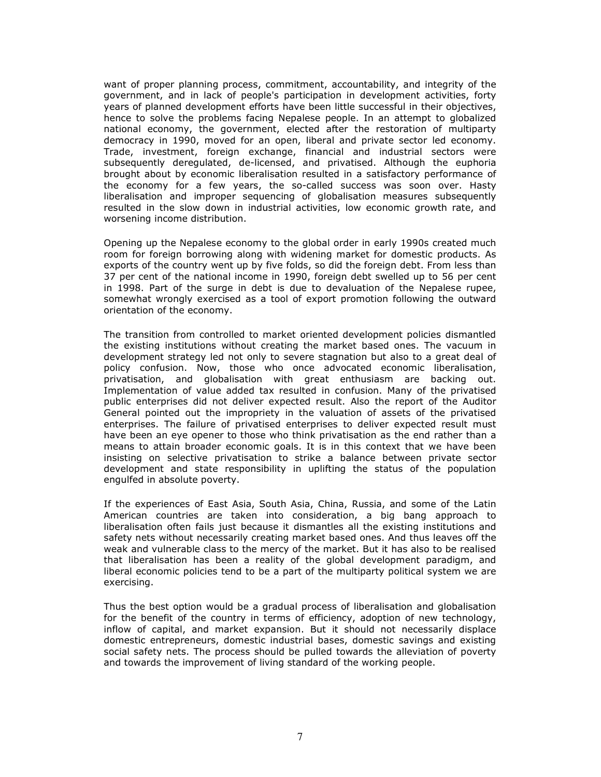want of proper planning process, commitment, accountability, and integrity of the government, and in lack of people's participation in development activities, forty years of planned development efforts have been little successful in their objectives, hence to solve the problems facing Nepalese people. In an attempt to globalized national economy, the government, elected after the restoration of multiparty democracy in 1990, moved for an open, liberal and private sector led economy. Trade, investment, foreign exchange, financial and industrial sectors were subsequently deregulated, de-licensed, and privatised. Although the euphoria brought about by economic liberalisation resulted in a satisfactory performance of the economy for a few years, the so-called success was soon over. Hasty liberalisation and improper sequencing of globalisation measures subsequently resulted in the slow down in industrial activities, low economic growth rate, and worsening income distribution.

Opening up the Nepalese economy to the global order in early 1990s created much room for foreign borrowing along with widening market for domestic products. As exports of the country went up by five folds, so did the foreign debt. From less than 37 per cent of the national income in 1990, foreign debt swelled up to 56 per cent in 1998. Part of the surge in debt is due to devaluation of the Nepalese rupee, somewhat wrongly exercised as a tool of export promotion following the outward orientation of the economy.

The transition from controlled to market oriented development policies dismantled the existing institutions without creating the market based ones. The vacuum in development strategy led not only to severe stagnation but also to a great deal of policy confusion. Now, those who once advocated economic liberalisation, privatisation, and globalisation with great enthusiasm are backing out. Implementation of value added tax resulted in confusion. Many of the privatised public enterprises did not deliver expected result. Also the report of the Auditor General pointed out the impropriety in the valuation of assets of the privatised enterprises. The failure of privatised enterprises to deliver expected result must have been an eye opener to those who think privatisation as the end rather than a means to attain broader economic goals. It is in this context that we have been insisting on selective privatisation to strike a balance between private sector development and state responsibility in uplifting the status of the population engulfed in absolute poverty.

If the experiences of East Asia, South Asia, China, Russia, and some of the Latin American countries are taken into consideration, a big bang approach to liberalisation often fails just because it dismantles all the existing institutions and safety nets without necessarily creating market based ones. And thus leaves off the weak and vulnerable class to the mercy of the market. But it has also to be realised that liberalisation has been a reality of the global development paradigm, and liberal economic policies tend to be a part of the multiparty political system we are exercising.

Thus the best option would be a gradual process of liberalisation and globalisation for the benefit of the country in terms of efficiency, adoption of new technology, inflow of capital, and market expansion. But it should not necessarily displace domestic entrepreneurs, domestic industrial bases, domestic savings and existing social safety nets. The process should be pulled towards the alleviation of poverty and towards the improvement of living standard of the working people.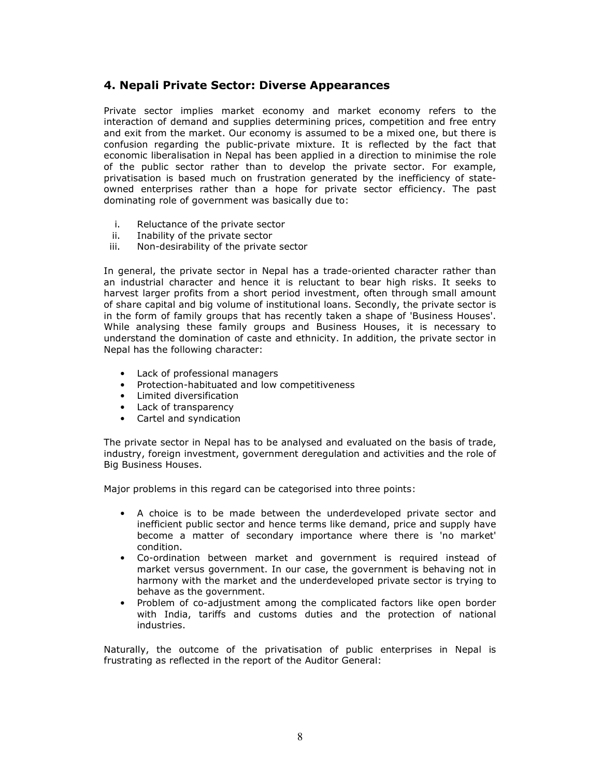# 4. Nepali Private Sector: Diverse Appearances

Private sector implies market economy and market economy refers to the interaction of demand and supplies determining prices, competition and free entry and exit from the market. Our economy is assumed to be a mixed one, but there is confusion regarding the public-private mixture. It is reflected by the fact that economic liberalisation in Nepal has been applied in a direction to minimise the role of the public sector rather than to develop the private sector. For example, privatisation is based much on frustration generated by the inefficiency of stateowned enterprises rather than a hope for private sector efficiency. The past dominating role of government was basically due to:

- i. Reluctance of the private sector
- ii. Inability of the private sector
- iii. Non-desirability of the private sector

In general, the private sector in Nepal has a trade-oriented character rather than an industrial character and hence it is reluctant to bear high risks. It seeks to harvest larger profits from a short period investment, often through small amount of share capital and big volume of institutional loans. Secondly, the private sector is in the form of family groups that has recently taken a shape of 'Business Houses'. While analysing these family groups and Business Houses, it is necessary to understand the domination of caste and ethnicity. In addition, the private sector in Nepal has the following character:

- Lack of professional managers
- Protection-habituated and low competitiveness
- Limited diversification
- Lack of transparency
- Cartel and syndication

The private sector in Nepal has to be analysed and evaluated on the basis of trade, industry, foreign investment, government deregulation and activities and the role of Big Business Houses.

Major problems in this regard can be categorised into three points:

- A choice is to be made between the underdeveloped private sector and inefficient public sector and hence terms like demand, price and supply have become a matter of secondary importance where there is 'no market' condition.
- Co-ordination between market and government is required instead of market versus government. In our case, the government is behaving not in harmony with the market and the underdeveloped private sector is trying to behave as the government.
- Problem of co-adjustment among the complicated factors like open border with India, tariffs and customs duties and the protection of national industries.

Naturally, the outcome of the privatisation of public enterprises in Nepal is frustrating as reflected in the report of the Auditor General: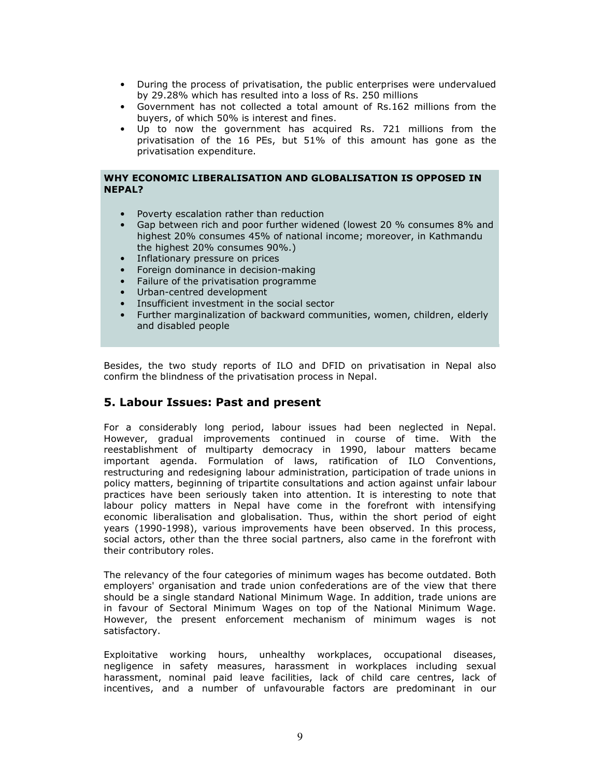- During the process of privatisation, the public enterprises were undervalued by 29.28% which has resulted into a loss of Rs. 250 millions
- Government has not collected a total amount of Rs.162 millions from the buyers, of which 50% is interest and fines.
- Up to now the government has acquired Rs. 721 millions from the privatisation of the 16 PEs, but 51% of this amount has gone as the privatisation expenditure.

### WHY ECONOMIC LIBERALISATION AND GLOBALISATION IS OPPOSED IN NEPAL?

- Poverty escalation rather than reduction
- Gap between rich and poor further widened (lowest 20 % consumes 8% and highest 20% consumes 45% of national income; moreover, in Kathmandu the highest 20% consumes 90%.)
- Inflationary pressure on prices
- Foreign dominance in decision-making
- Failure of the privatisation programme
- Urban-centred development
- Insufficient investment in the social sector
- Further marginalization of backward communities, women, children, elderly and disabled people

Besides, the two study reports of ILO and DFID on privatisation in Nepal also confirm the blindness of the privatisation process in Nepal.

### 5. Labour Issues: Past and present

For a considerably long period, labour issues had been neglected in Nepal. However, gradual improvements continued in course of time. With the reestablishment of multiparty democracy in 1990, labour matters became important agenda. Formulation of laws, ratification of ILO Conventions, restructuring and redesigning labour administration, participation of trade unions in policy matters, beginning of tripartite consultations and action against unfair labour practices have been seriously taken into attention. It is interesting to note that labour policy matters in Nepal have come in the forefront with intensifying economic liberalisation and globalisation. Thus, within the short period of eight years (1990-1998), various improvements have been observed. In this process, social actors, other than the three social partners, also came in the forefront with their contributory roles.

The relevancy of the four categories of minimum wages has become outdated. Both employers' organisation and trade union confederations are of the view that there should be a single standard National Minimum Wage. In addition, trade unions are in favour of Sectoral Minimum Wages on top of the National Minimum Wage. However, the present enforcement mechanism of minimum wages is not satisfactory.

Exploitative working hours, unhealthy workplaces, occupational diseases, negligence in safety measures, harassment in workplaces including sexual harassment, nominal paid leave facilities, lack of child care centres, lack of incentives, and a number of unfavourable factors are predominant in our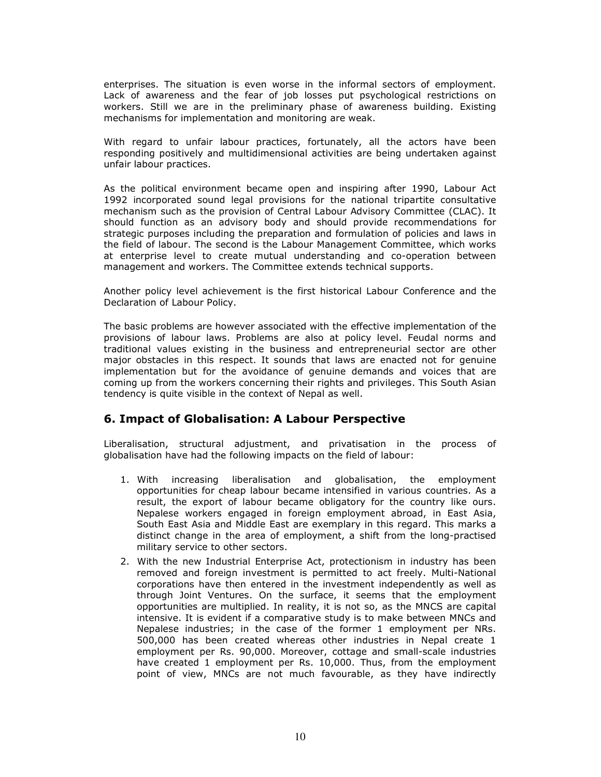enterprises. The situation is even worse in the informal sectors of employment. Lack of awareness and the fear of job losses put psychological restrictions on workers. Still we are in the preliminary phase of awareness building. Existing mechanisms for implementation and monitoring are weak.

With regard to unfair labour practices, fortunately, all the actors have been responding positively and multidimensional activities are being undertaken against unfair labour practices.

As the political environment became open and inspiring after 1990, Labour Act 1992 incorporated sound legal provisions for the national tripartite consultative mechanism such as the provision of Central Labour Advisory Committee (CLAC). It should function as an advisory body and should provide recommendations for strategic purposes including the preparation and formulation of policies and laws in the field of labour. The second is the Labour Management Committee, which works at enterprise level to create mutual understanding and co-operation between management and workers. The Committee extends technical supports.

Another policy level achievement is the first historical Labour Conference and the Declaration of Labour Policy.

The basic problems are however associated with the effective implementation of the provisions of labour laws. Problems are also at policy level. Feudal norms and traditional values existing in the business and entrepreneurial sector are other major obstacles in this respect. It sounds that laws are enacted not for genuine implementation but for the avoidance of genuine demands and voices that are coming up from the workers concerning their rights and privileges. This South Asian tendency is quite visible in the context of Nepal as well.

# 6. Impact of Globalisation: A Labour Perspective

Liberalisation, structural adjustment, and privatisation in the process of globalisation have had the following impacts on the field of labour:

- 1. With increasing liberalisation and globalisation, the employment opportunities for cheap labour became intensified in various countries. As a result, the export of labour became obligatory for the country like ours. Nepalese workers engaged in foreign employment abroad, in East Asia, South East Asia and Middle East are exemplary in this regard. This marks a distinct change in the area of employment, a shift from the long-practised military service to other sectors.
- 2. With the new Industrial Enterprise Act, protectionism in industry has been removed and foreign investment is permitted to act freely. Multi-National corporations have then entered in the investment independently as well as through Joint Ventures. On the surface, it seems that the employment opportunities are multiplied. In reality, it is not so, as the MNCS are capital intensive. It is evident if a comparative study is to make between MNCs and Nepalese industries; in the case of the former 1 employment per NRs. 500,000 has been created whereas other industries in Nepal create 1 employment per Rs. 90,000. Moreover, cottage and small-scale industries have created 1 employment per Rs. 10,000. Thus, from the employment point of view, MNCs are not much favourable, as they have indirectly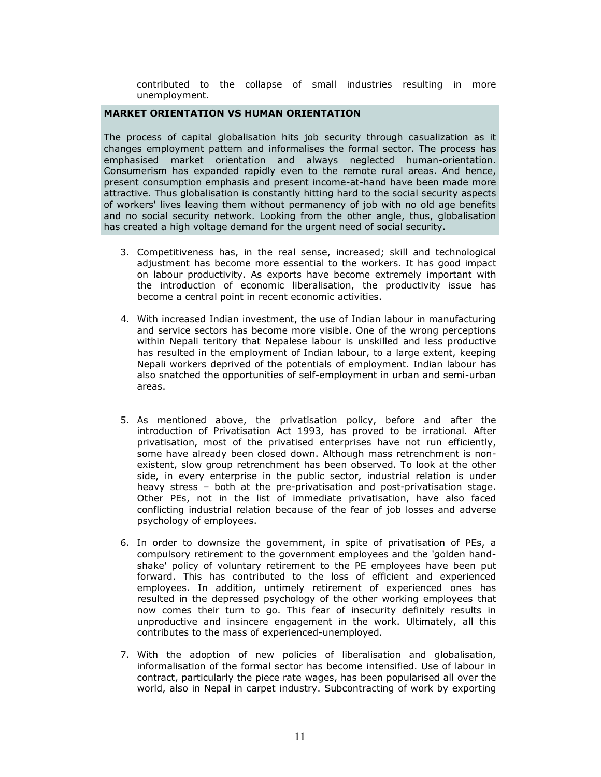contributed to the collapse of small industries resulting in more unemployment.

### MARKET ORIENTATION VS HUMAN ORIENTATION

The process of capital globalisation hits job security through casualization as it changes employment pattern and informalises the formal sector. The process has emphasised market orientation and always neglected human-orientation. Consumerism has expanded rapidly even to the remote rural areas. And hence, present consumption emphasis and present income-at-hand have been made more attractive. Thus globalisation is constantly hitting hard to the social security aspects of workers' lives leaving them without permanency of job with no old age benefits and no social security network. Looking from the other angle, thus, globalisation has created a high voltage demand for the urgent need of social security.

- 3. Competitiveness has, in the real sense, increased; skill and technological adjustment has become more essential to the workers. It has good impact on labour productivity. As exports have become extremely important with the introduction of economic liberalisation, the productivity issue has become a central point in recent economic activities.
- 4. With increased Indian investment, the use of Indian labour in manufacturing and service sectors has become more visible. One of the wrong perceptions within Nepali teritory that Nepalese labour is unskilled and less productive has resulted in the employment of Indian labour, to a large extent, keeping Nepali workers deprived of the potentials of employment. Indian labour has also snatched the opportunities of self-employment in urban and semi-urban areas.
- 5. As mentioned above, the privatisation policy, before and after the introduction of Privatisation Act 1993, has proved to be irrational. After privatisation, most of the privatised enterprises have not run efficiently, some have already been closed down. Although mass retrenchment is nonexistent, slow group retrenchment has been observed. To look at the other side, in every enterprise in the public sector, industrial relation is under heavy stress – both at the pre-privatisation and post-privatisation stage. Other PEs, not in the list of immediate privatisation, have also faced conflicting industrial relation because of the fear of job losses and adverse psychology of employees.
- 6. In order to downsize the government, in spite of privatisation of PEs, a compulsory retirement to the government employees and the 'golden handshake' policy of voluntary retirement to the PE employees have been put forward. This has contributed to the loss of efficient and experienced employees. In addition, untimely retirement of experienced ones has resulted in the depressed psychology of the other working employees that now comes their turn to go. This fear of insecurity definitely results in unproductive and insincere engagement in the work. Ultimately, all this contributes to the mass of experienced-unemployed.
- 7. With the adoption of new policies of liberalisation and globalisation, informalisation of the formal sector has become intensified. Use of labour in contract, particularly the piece rate wages, has been popularised all over the world, also in Nepal in carpet industry. Subcontracting of work by exporting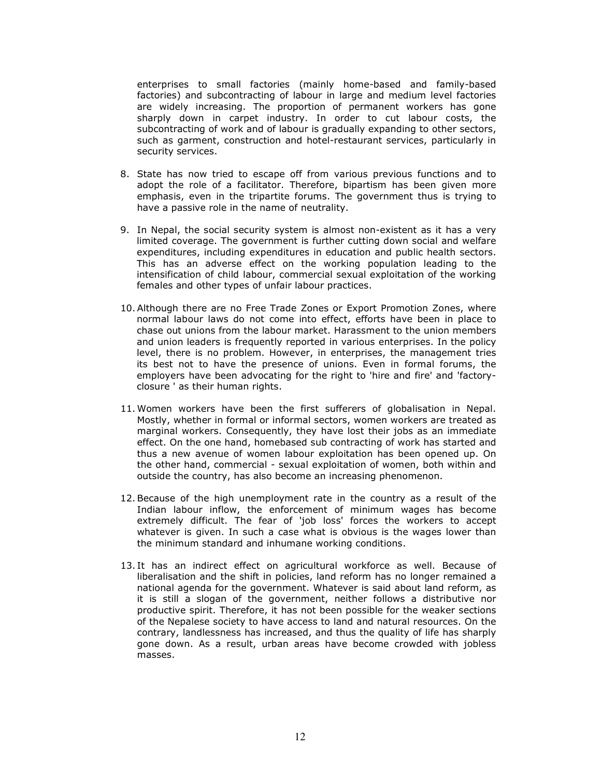enterprises to small factories (mainly home-based and family-based factories) and subcontracting of labour in large and medium level factories are widely increasing. The proportion of permanent workers has gone sharply down in carpet industry. In order to cut labour costs, the subcontracting of work and of labour is gradually expanding to other sectors, such as garment, construction and hotel-restaurant services, particularly in security services.

- 8. State has now tried to escape off from various previous functions and to adopt the role of a facilitator. Therefore, bipartism has been given more emphasis, even in the tripartite forums. The government thus is trying to have a passive role in the name of neutrality.
- 9. In Nepal, the social security system is almost non-existent as it has a very limited coverage. The government is further cutting down social and welfare expenditures, including expenditures in education and public health sectors. This has an adverse effect on the working population leading to the intensification of child labour, commercial sexual exploitation of the working females and other types of unfair labour practices.
- 10. Although there are no Free Trade Zones or Export Promotion Zones, where normal labour laws do not come into effect, efforts have been in place to chase out unions from the labour market. Harassment to the union members and union leaders is frequently reported in various enterprises. In the policy level, there is no problem. However, in enterprises, the management tries its best not to have the presence of unions. Even in formal forums, the employers have been advocating for the right to 'hire and fire' and 'factoryclosure ' as their human rights.
- 11.Women workers have been the first sufferers of globalisation in Nepal. Mostly, whether in formal or informal sectors, women workers are treated as marginal workers. Consequently, they have lost their jobs as an immediate effect. On the one hand, homebased sub contracting of work has started and thus a new avenue of women labour exploitation has been opened up. On the other hand, commercial - sexual exploitation of women, both within and outside the country, has also become an increasing phenomenon.
- 12.Because of the high unemployment rate in the country as a result of the Indian labour inflow, the enforcement of minimum wages has become extremely difficult. The fear of 'job loss' forces the workers to accept whatever is given. In such a case what is obvious is the wages lower than the minimum standard and inhumane working conditions.
- 13. It has an indirect effect on agricultural workforce as well. Because of liberalisation and the shift in policies, land reform has no longer remained a national agenda for the government. Whatever is said about land reform, as it is still a slogan of the government, neither follows a distributive nor productive spirit. Therefore, it has not been possible for the weaker sections of the Nepalese society to have access to land and natural resources. On the contrary, landlessness has increased, and thus the quality of life has sharply gone down. As a result, urban areas have become crowded with jobless masses.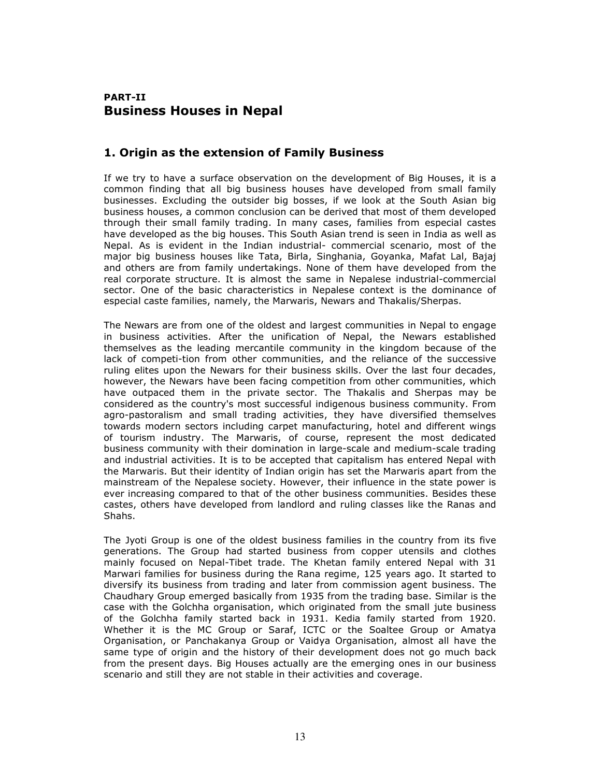# PART-II Business Houses in Nepal

# 1. Origin as the extension of Family Business

If we try to have a surface observation on the development of Big Houses, it is a common finding that all big business houses have developed from small family businesses. Excluding the outsider big bosses, if we look at the South Asian big business houses, a common conclusion can be derived that most of them developed through their small family trading. In many cases, families from especial castes have developed as the big houses. This South Asian trend is seen in India as well as Nepal. As is evident in the Indian industrial- commercial scenario, most of the major big business houses like Tata, Birla, Singhania, Goyanka, Mafat Lal, Bajaj and others are from family undertakings. None of them have developed from the real corporate structure. It is almost the same in Nepalese industrial-commercial sector. One of the basic characteristics in Nepalese context is the dominance of especial caste families, namely, the Marwaris, Newars and Thakalis/Sherpas.

The Newars are from one of the oldest and largest communities in Nepal to engage in business activities. After the unification of Nepal, the Newars established themselves as the leading mercantile community in the kingdom because of the lack of competi-tion from other communities, and the reliance of the successive ruling elites upon the Newars for their business skills. Over the last four decades, however, the Newars have been facing competition from other communities, which have outpaced them in the private sector. The Thakalis and Sherpas may be considered as the country's most successful indigenous business community. From agro-pastoralism and small trading activities, they have diversified themselves towards modern sectors including carpet manufacturing, hotel and different wings of tourism industry. The Marwaris, of course, represent the most dedicated business community with their domination in large-scale and medium-scale trading and industrial activities. It is to be accepted that capitalism has entered Nepal with the Marwaris. But their identity of Indian origin has set the Marwaris apart from the mainstream of the Nepalese society. However, their influence in the state power is ever increasing compared to that of the other business communities. Besides these castes, others have developed from landlord and ruling classes like the Ranas and Shahs.

The Jyoti Group is one of the oldest business families in the country from its five generations. The Group had started business from copper utensils and clothes mainly focused on Nepal-Tibet trade. The Khetan family entered Nepal with 31 Marwari families for business during the Rana regime, 125 years ago. It started to diversify its business from trading and later from commission agent business. The Chaudhary Group emerged basically from 1935 from the trading base. Similar is the case with the Golchha organisation, which originated from the small jute business of the Golchha family started back in 1931. Kedia family started from 1920. Whether it is the MC Group or Saraf, ICTC or the Soaltee Group or Amatya Organisation, or Panchakanya Group or Vaidya Organisation, almost all have the same type of origin and the history of their development does not go much back from the present days. Big Houses actually are the emerging ones in our business scenario and still they are not stable in their activities and coverage.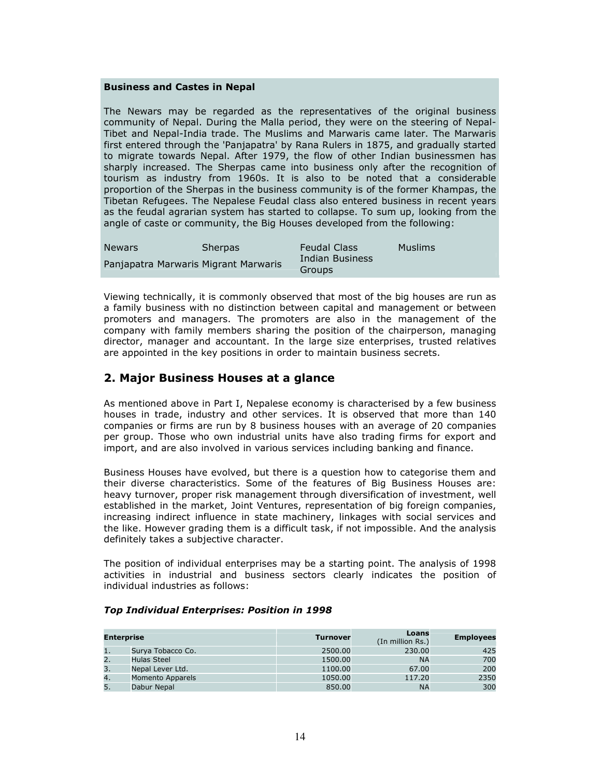#### Business and Castes in Nepal

The Newars may be regarded as the representatives of the original business community of Nepal. During the Malla period, they were on the steering of Nepal-Tibet and Nepal-India trade. The Muslims and Marwaris came later. The Marwaris first entered through the 'Panjapatra' by Rana Rulers in 1875, and gradually started to migrate towards Nepal. After 1979, the flow of other Indian businessmen has sharply increased. The Sherpas came into business only after the recognition of tourism as industry from 1960s. It is also to be noted that a considerable proportion of the Sherpas in the business community is of the former Khampas, the Tibetan Refugees. The Nepalese Feudal class also entered business in recent years as the feudal agrarian system has started to collapse. To sum up, looking from the angle of caste or community, the Big Houses developed from the following:

| <b>Newars</b>                        | <b>Sherpas</b> | <b>Feudal Class</b>       | <b>Muslims</b> |
|--------------------------------------|----------------|---------------------------|----------------|
| Panjapatra Marwaris Migrant Marwaris |                | Indian Business<br>Groups |                |

Viewing technically, it is commonly observed that most of the big houses are run as a family business with no distinction between capital and management or between promoters and managers. The promoters are also in the management of the company with family members sharing the position of the chairperson, managing director, manager and accountant. In the large size enterprises, trusted relatives are appointed in the key positions in order to maintain business secrets.

# 2. Major Business Houses at a glance

As mentioned above in Part I, Nepalese economy is characterised by a few business houses in trade, industry and other services. It is observed that more than 140 companies or firms are run by 8 business houses with an average of 20 companies per group. Those who own industrial units have also trading firms for export and import, and are also involved in various services including banking and finance.

Business Houses have evolved, but there is a question how to categorise them and their diverse characteristics. Some of the features of Big Business Houses are: heavy turnover, proper risk management through diversification of investment, well established in the market, Joint Ventures, representation of big foreign companies, increasing indirect influence in state machinery, linkages with social services and the like. However grading them is a difficult task, if not impossible. And the analysis definitely takes a subjective character.

The position of individual enterprises may be a starting point. The analysis of 1998 activities in industrial and business sectors clearly indicates the position of individual industries as follows:

| Enterprise |                         | <b>Turnover</b> | Loans<br>(In million Rs.) | <b>Employees</b> |
|------------|-------------------------|-----------------|---------------------------|------------------|
|            | Surya Tobacco Co.       | 2500.00         | 230.00                    | 425              |
| 2.         | Hulas Steel             | 1500.00         | <b>NA</b>                 | 700              |
| 3.         | Nepal Lever Ltd.        | 1100.00         | 67.00                     | 200              |
| 4.         | <b>Momento Apparels</b> | 1050.00         | 117.20                    | 2350             |
|            | Dabur Nepal             | 850.00          | <b>NA</b>                 | 300              |

### Top Individual Enterprises: Position in 1998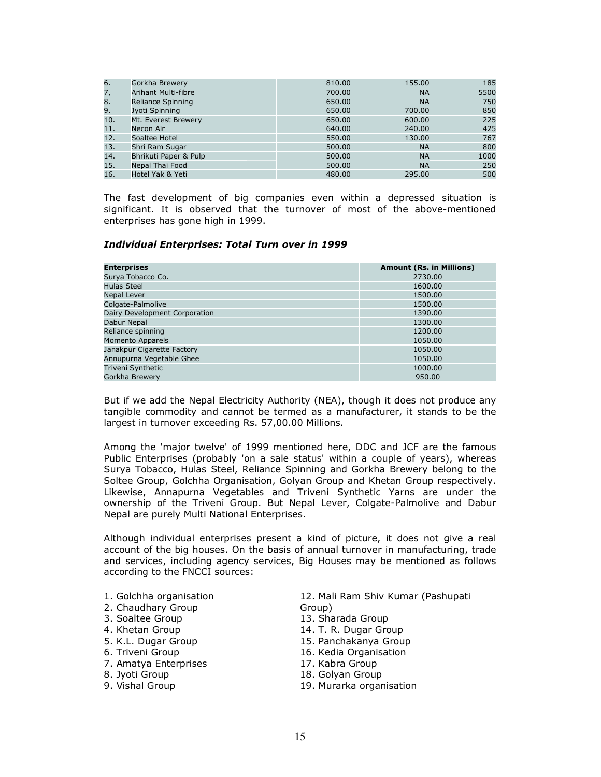| 6.  | Gorkha Brewery             | 810.00 | 155.00    | 185  |
|-----|----------------------------|--------|-----------|------|
| 7,  | <b>Arihant Multi-fibre</b> | 700.00 | <b>NA</b> | 5500 |
| 8.  | Reliance Spinning          | 650.00 | <b>NA</b> | 750  |
| 9.  | Jyoti Spinning             | 650.00 | 700.00    | 850  |
| 10. | Mt. Everest Brewery        | 650.00 | 600.00    | 225  |
| 11. | Necon Air                  | 640.00 | 240.00    | 425  |
| 12. | Soaltee Hotel              | 550.00 | 130.00    | 767  |
| 13. | Shri Ram Sugar             | 500.00 | <b>NA</b> | 800  |
| 14. | Bhrikuti Paper & Pulp      | 500.00 | <b>NA</b> | 1000 |
| 15. | Nepal Thai Food            | 500.00 | <b>NA</b> | 250  |
| 16. | Hotel Yak & Yeti           | 480.00 | 295.00    | 500  |

The fast development of big companies even within a depressed situation is significant. It is observed that the turnover of most of the above-mentioned enterprises has gone high in 1999.

#### Individual Enterprises: Total Turn over in 1999

| <b>Enterprises</b>            | <b>Amount (Rs. in Millions)</b> |
|-------------------------------|---------------------------------|
| Surya Tobacco Co.             | 2730.00                         |
| <b>Hulas Steel</b>            | 1600.00                         |
| Nepal Lever                   | 1500.00                         |
| Colgate-Palmolive             | 1500.00                         |
| Dairy Development Corporation | 1390.00                         |
| Dabur Nepal                   | 1300.00                         |
| Reliance spinning             | 1200.00                         |
| <b>Momento Apparels</b>       | 1050.00                         |
| Janakpur Cigarette Factory    | 1050.00                         |
| Annupurna Vegetable Ghee      | 1050.00                         |
| Triveni Synthetic             | 1000.00                         |
| Gorkha Brewery                | 950.00                          |

But if we add the Nepal Electricity Authority (NEA), though it does not produce any tangible commodity and cannot be termed as a manufacturer, it stands to be the largest in turnover exceeding Rs. 57,00.00 Millions.

Among the 'major twelve' of 1999 mentioned here, DDC and JCF are the famous Public Enterprises (probably 'on a sale status' within a couple of years), whereas Surya Tobacco, Hulas Steel, Reliance Spinning and Gorkha Brewery belong to the Soltee Group, Golchha Organisation, Golyan Group and Khetan Group respectively. Likewise, Annapurna Vegetables and Triveni Synthetic Yarns are under the ownership of the Triveni Group. But Nepal Lever, Colgate-Palmolive and Dabur Nepal are purely Multi National Enterprises.

Although individual enterprises present a kind of picture, it does not give a real account of the big houses. On the basis of annual turnover in manufacturing, trade and services, including agency services, Big Houses may be mentioned as follows according to the FNCCI sources:

- 1. Golchha organisation
- 2. Chaudhary Group
- 3. Soaltee Group
- 4. Khetan Group
- 5. K.L. Dugar Group
- 6. Triveni Group
- 7. Amatya Enterprises
- 8. Jyoti Group
- 9. Vishal Group
- 12. Mali Ram Shiv Kumar (Pashupati Group)
- 13. Sharada Group
- 14. T. R. Dugar Group
- 15. Panchakanya Group
- 16. Kedia Organisation
- 17. Kabra Group
- 18. Golyan Group
- 19. Murarka organisation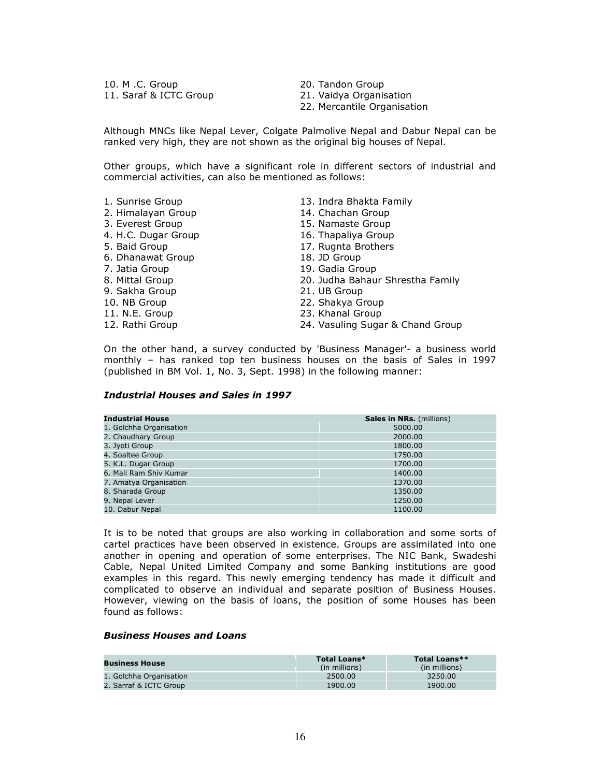10. M .C. Group 11. Saraf & ICTC Group 20. Tandon Group

- 21. Vaidya Organisation
- 22. Mercantile Organisation

Although MNCs like Nepal Lever, Colgate Palmolive Nepal and Dabur Nepal can be ranked very high, they are not shown as the original big houses of Nepal.

Other groups, which have a significant role in different sectors of industrial and commercial activities, can also be mentioned as follows:

| 1. Sunrise Group    | 13. Indra Bhakta Family          |
|---------------------|----------------------------------|
| 2. Himalayan Group  | 14. Chachan Group                |
| 3. Everest Group    | 15. Namaste Group                |
| 4. H.C. Dugar Group | 16. Thapaliya Group              |
| 5. Baid Group       | 17. Rugnta Brothers              |
| 6. Dhanawat Group   | 18. JD Group                     |
| 7. Jatia Group      | 19. Gadia Group                  |
| 8. Mittal Group     | 20. Judha Bahaur Shrestha Family |
| 9. Sakha Group      | 21. UB Group                     |
| 10. NB Group        | 22. Shakya Group                 |
| 11. N.E. Group      | 23. Khanal Group                 |
| 12. Rathi Group     | 24. Vasuling Sugar & Chand Group |

On the other hand, a survey conducted by 'Business Manager'- a business world monthly – has ranked top ten business houses on the basis of Sales in 1997 (published in BM Vol. 1, No. 3, Sept. 1998) in the following manner:

### Industrial Houses and Sales in 1997

| <b>Industrial House</b> | <b>Sales in NRs.</b> (millions) |
|-------------------------|---------------------------------|
| 1. Golchha Organisation | 5000.00                         |
| 2. Chaudhary Group      | 2000.00                         |
| 3. Jyoti Group          | 1800.00                         |
| 4. Soaltee Group        | 1750.00                         |
| 5. K.L. Dugar Group     | 1700.00                         |
| 6. Mali Ram Shiv Kumar  | 1400.00                         |
| 7. Amatya Organisation  | 1370.00                         |
| 8. Sharada Group        | 1350.00                         |
| 9. Nepal Lever          | 1250.00                         |
| 10. Dabur Nepal         | 1100.00                         |

It is to be noted that groups are also working in collaboration and some sorts of cartel practices have been observed in existence. Groups are assimilated into one another in opening and operation of some enterprises. The NIC Bank, Swadeshi Cable, Nepal United Limited Company and some Banking institutions are good examples in this regard. This newly emerging tendency has made it difficult and complicated to observe an individual and separate position of Business Houses. However, viewing on the basis of loans, the position of some Houses has been found as follows:

#### Business Houses and Loans

| <b>Business House</b>   | Total Loans*<br>(in millions) | Total Loans**<br>(in millions) |
|-------------------------|-------------------------------|--------------------------------|
| 1. Golchha Organisation | 2500.00                       | 3250.00                        |
| 2. Sarraf & ICTC Group  | 1900.00                       | 1900.00                        |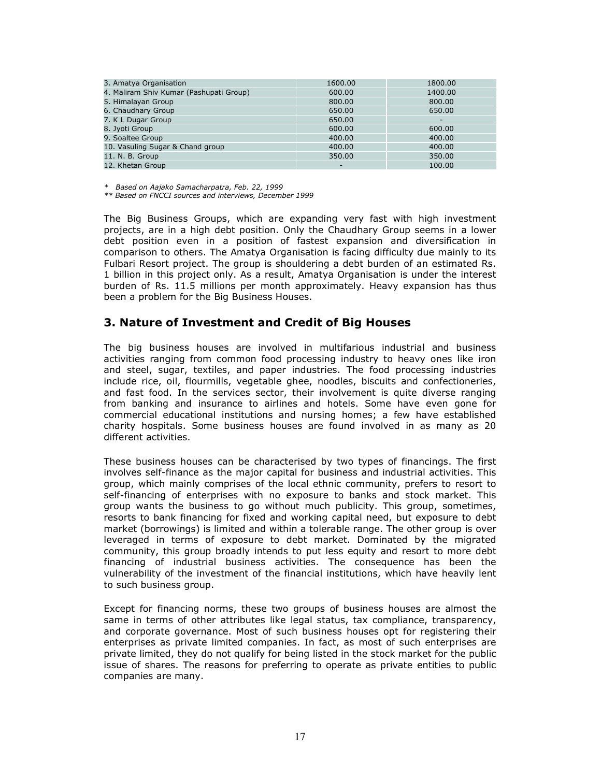| 3. Amatya Organisation                  | 1600.00                  | 1800.00 |
|-----------------------------------------|--------------------------|---------|
| 4. Maliram Shiv Kumar (Pashupati Group) | 600.00                   | 1400.00 |
| 5. Himalayan Group                      | 800.00                   | 800.00  |
| 6. Chaudhary Group                      | 650.00                   | 650.00  |
| 7. K L Dugar Group                      | 650.00                   | -       |
| 8. Jyoti Group                          | 600.00                   | 600.00  |
| 9. Soaltee Group                        | 400.00                   | 400.00  |
| 10. Vasuling Sugar & Chand group        | 400.00                   | 400.00  |
| 11. N. B. Group                         | 350.00                   | 350.00  |
| 12. Khetan Group                        | $\overline{\phantom{0}}$ | 100.00  |

\* Based on Aajako Samacharpatra, Feb. 22, 1999

\*\* Based on FNCCI sources and interviews, December 1999

The Big Business Groups, which are expanding very fast with high investment projects, are in a high debt position. Only the Chaudhary Group seems in a lower debt position even in a position of fastest expansion and diversification in comparison to others. The Amatya Organisation is facing difficulty due mainly to its Fulbari Resort project. The group is shouldering a debt burden of an estimated Rs. 1 billion in this project only. As a result, Amatya Organisation is under the interest burden of Rs. 11.5 millions per month approximately. Heavy expansion has thus been a problem for the Big Business Houses.

### 3. Nature of Investment and Credit of Big Houses

The big business houses are involved in multifarious industrial and business activities ranging from common food processing industry to heavy ones like iron and steel, sugar, textiles, and paper industries. The food processing industries include rice, oil, flourmills, vegetable ghee, noodles, biscuits and confectioneries, and fast food. In the services sector, their involvement is quite diverse ranging from banking and insurance to airlines and hotels. Some have even gone for commercial educational institutions and nursing homes; a few have established charity hospitals. Some business houses are found involved in as many as 20 different activities.

These business houses can be characterised by two types of financings. The first involves self-finance as the major capital for business and industrial activities. This group, which mainly comprises of the local ethnic community, prefers to resort to self-financing of enterprises with no exposure to banks and stock market. This group wants the business to go without much publicity. This group, sometimes, resorts to bank financing for fixed and working capital need, but exposure to debt market (borrowings) is limited and within a tolerable range. The other group is over leveraged in terms of exposure to debt market. Dominated by the migrated community, this group broadly intends to put less equity and resort to more debt financing of industrial business activities. The consequence has been the vulnerability of the investment of the financial institutions, which have heavily lent to such business group.

Except for financing norms, these two groups of business houses are almost the same in terms of other attributes like legal status, tax compliance, transparency, and corporate governance. Most of such business houses opt for registering their enterprises as private limited companies. In fact, as most of such enterprises are private limited, they do not qualify for being listed in the stock market for the public issue of shares. The reasons for preferring to operate as private entities to public companies are many.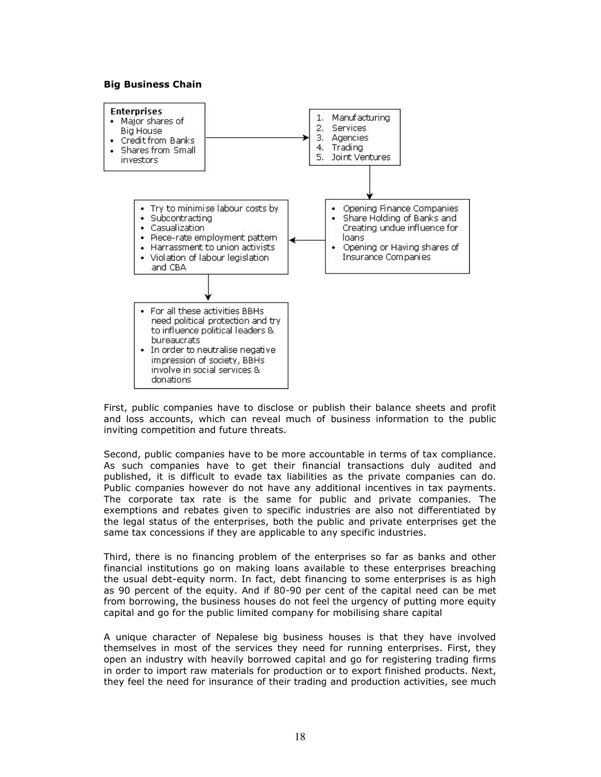### Big Business Chain



First, public companies have to disclose or publish their balance sheets and profit and loss accounts, which can reveal much of business information to the public inviting competition and future threats.

Second, public companies have to be more accountable in terms of tax compliance. As such companies have to get their financial transactions duly audited and published, it is difficult to evade tax liabilities as the private companies can do. Public companies however do not have any additional incentives in tax payments. The corporate tax rate is the same for public and private companies. The exemptions and rebates given to specific industries are also not differentiated by the legal status of the enterprises, both the public and private enterprises get the same tax concessions if they are applicable to any specific industries.

Third, there is no financing problem of the enterprises so far as banks and other financial institutions go on making loans available to these enterprises breaching the usual debt-equity norm. In fact, debt financing to some enterprises is as high as 90 percent of the equity. And if 80-90 per cent of the capital need can be met from borrowing, the business houses do not feel the urgency of putting more equity capital and go for the public limited company for mobilising share capital

A unique character of Nepalese big business houses is that they have involved themselves in most of the services they need for running enterprises. First, they open an industry with heavily borrowed capital and go for registering trading firms in order to import raw materials for production or to export finished products. Next, they feel the need for insurance of their trading and production activities, see much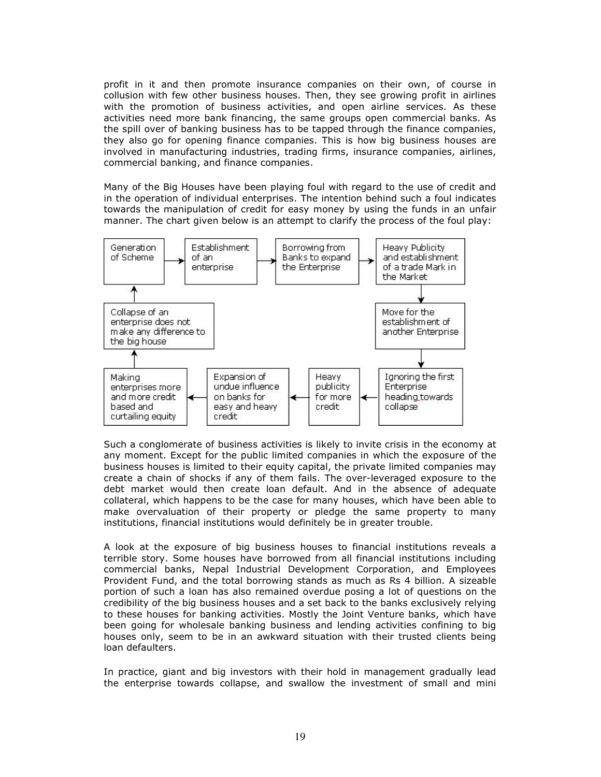profit in it and then promote insurance companies on their own, of course in collusion with few other business houses. Then, they see growing profit in airlines with the promotion of business activities, and open airline services. As these activities need more bank financing, the same groups open commercial banks. As the spill over of banking business has to be tapped through the finance companies, they also go for opening finance companies. This is how big business houses are involved in manufacturing industries, trading firms, insurance companies, airlines, commercial banking, and finance companies.

Many of the Big Houses have been playing foul with regard to the use of credit and in the operation of individual enterprises. The intention behind such a foul indicates towards the manipulation of credit for easy money by using the funds in an unfair manner. The chart given below is an attempt to clarify the process of the foul play:



Such a conglomerate of business activities is likely to invite crisis in the economy at any moment. Except for the public limited companies in which the exposure of the business houses is limited to their equity capital, the private limited companies may create a chain of shocks if any of them fails. The over-leveraged exposure to the debt market would then create loan default. And in the absence of adequate collateral, which happens to be the case for many houses, which have been able to make overvaluation of their property or pledge the same property to many institutions, financial institutions would definitely be in greater trouble.

A look at the exposure of big business houses to financial institutions reveals a terrible story. Some houses have borrowed from all financial institutions including commercial banks, Nepal Industrial Development Corporation, and Employees Provident Fund, and the total borrowing stands as much as Rs 4 billion. A sizeable portion of such a loan has also remained overdue posing a lot of questions on the credibility of the big business houses and a set back to the banks exclusively relying to these houses for banking activities. Mostly the Joint Venture banks, which have been going for wholesale banking business and lending activities confining to big houses only, seem to be in an awkward situation with their trusted clients being loan defaulters.

In practice, giant and big investors with their hold in management gradually lead the enterprise towards collapse, and swallow the investment of small and mini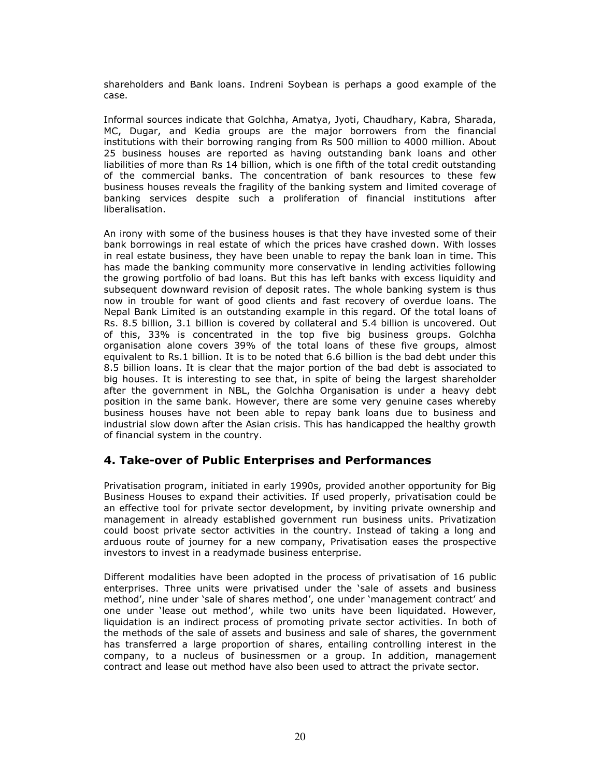shareholders and Bank loans. Indreni Soybean is perhaps a good example of the case.

Informal sources indicate that Golchha, Amatya, Jyoti, Chaudhary, Kabra, Sharada, MC, Dugar, and Kedia groups are the major borrowers from the financial institutions with their borrowing ranging from Rs 500 million to 4000 million. About 25 business houses are reported as having outstanding bank loans and other liabilities of more than Rs 14 billion, which is one fifth of the total credit outstanding of the commercial banks. The concentration of bank resources to these few business houses reveals the fragility of the banking system and limited coverage of banking services despite such a proliferation of financial institutions after liberalisation.

An irony with some of the business houses is that they have invested some of their bank borrowings in real estate of which the prices have crashed down. With losses in real estate business, they have been unable to repay the bank loan in time. This has made the banking community more conservative in lending activities following the growing portfolio of bad loans. But this has left banks with excess liquidity and subsequent downward revision of deposit rates. The whole banking system is thus now in trouble for want of good clients and fast recovery of overdue loans. The Nepal Bank Limited is an outstanding example in this regard. Of the total loans of Rs. 8.5 billion, 3.1 billion is covered by collateral and 5.4 billion is uncovered. Out of this, 33% is concentrated in the top five big business groups. Golchha organisation alone covers 39% of the total loans of these five groups, almost equivalent to Rs.1 billion. It is to be noted that 6.6 billion is the bad debt under this 8.5 billion loans. It is clear that the major portion of the bad debt is associated to big houses. It is interesting to see that, in spite of being the largest shareholder after the government in NBL, the Golchha Organisation is under a heavy debt position in the same bank. However, there are some very genuine cases whereby business houses have not been able to repay bank loans due to business and industrial slow down after the Asian crisis. This has handicapped the healthy growth of financial system in the country.

# 4. Take-over of Public Enterprises and Performances

Privatisation program, initiated in early 1990s, provided another opportunity for Big Business Houses to expand their activities. If used properly, privatisation could be an effective tool for private sector development, by inviting private ownership and management in already established government run business units. Privatization could boost private sector activities in the country. Instead of taking a long and arduous route of journey for a new company, Privatisation eases the prospective investors to invest in a readymade business enterprise.

Different modalities have been adopted in the process of privatisation of 16 public enterprises. Three units were privatised under the 'sale of assets and business method', nine under 'sale of shares method', one under 'management contract' and one under 'lease out method', while two units have been liquidated. However, liquidation is an indirect process of promoting private sector activities. In both of the methods of the sale of assets and business and sale of shares, the government has transferred a large proportion of shares, entailing controlling interest in the company, to a nucleus of businessmen or a group. In addition, management contract and lease out method have also been used to attract the private sector.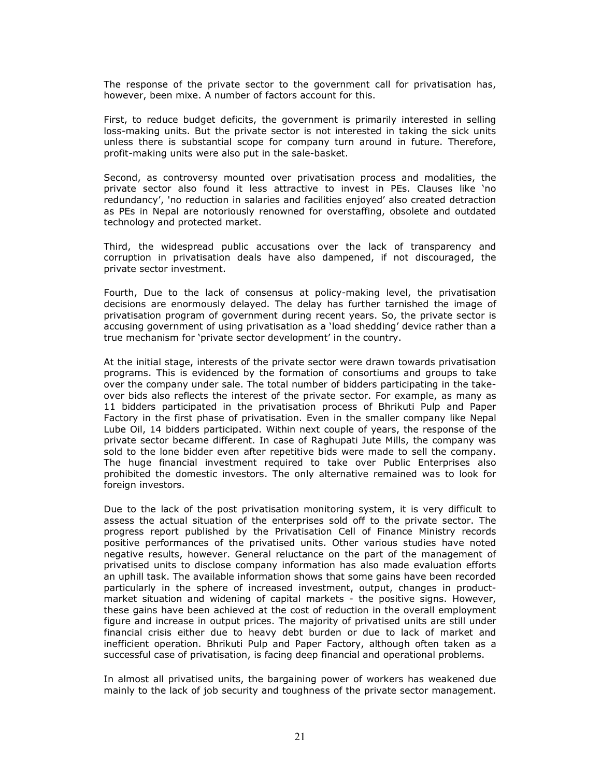The response of the private sector to the government call for privatisation has, however, been mixe. A number of factors account for this.

First, to reduce budget deficits, the government is primarily interested in selling loss-making units. But the private sector is not interested in taking the sick units unless there is substantial scope for company turn around in future. Therefore, profit-making units were also put in the sale-basket.

Second, as controversy mounted over privatisation process and modalities, the private sector also found it less attractive to invest in PEs. Clauses like 'no redundancy', 'no reduction in salaries and facilities enjoyed' also created detraction as PEs in Nepal are notoriously renowned for overstaffing, obsolete and outdated technology and protected market.

Third, the widespread public accusations over the lack of transparency and corruption in privatisation deals have also dampened, if not discouraged, the private sector investment.

Fourth, Due to the lack of consensus at policy-making level, the privatisation decisions are enormously delayed. The delay has further tarnished the image of privatisation program of government during recent years. So, the private sector is accusing government of using privatisation as a 'load shedding' device rather than a true mechanism for 'private sector development' in the country.

At the initial stage, interests of the private sector were drawn towards privatisation programs. This is evidenced by the formation of consortiums and groups to take over the company under sale. The total number of bidders participating in the takeover bids also reflects the interest of the private sector. For example, as many as 11 bidders participated in the privatisation process of Bhrikuti Pulp and Paper Factory in the first phase of privatisation. Even in the smaller company like Nepal Lube Oil, 14 bidders participated. Within next couple of years, the response of the private sector became different. In case of Raghupati Jute Mills, the company was sold to the lone bidder even after repetitive bids were made to sell the company. The huge financial investment required to take over Public Enterprises also prohibited the domestic investors. The only alternative remained was to look for foreign investors.

Due to the lack of the post privatisation monitoring system, it is very difficult to assess the actual situation of the enterprises sold off to the private sector. The progress report published by the Privatisation Cell of Finance Ministry records positive performances of the privatised units. Other various studies have noted negative results, however. General reluctance on the part of the management of privatised units to disclose company information has also made evaluation efforts an uphill task. The available information shows that some gains have been recorded particularly in the sphere of increased investment, output, changes in productmarket situation and widening of capital markets - the positive signs. However, these gains have been achieved at the cost of reduction in the overall employment figure and increase in output prices. The majority of privatised units are still under financial crisis either due to heavy debt burden or due to lack of market and inefficient operation. Bhrikuti Pulp and Paper Factory, although often taken as a successful case of privatisation, is facing deep financial and operational problems.

In almost all privatised units, the bargaining power of workers has weakened due mainly to the lack of job security and toughness of the private sector management.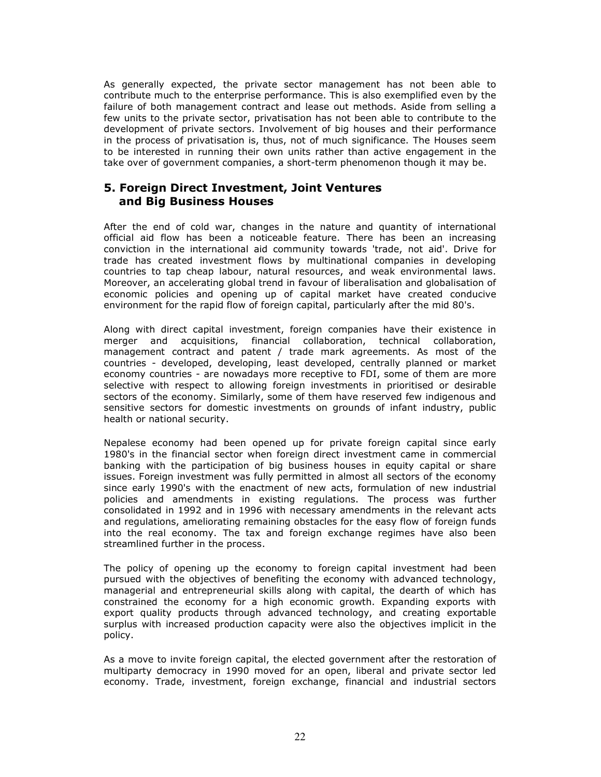As generally expected, the private sector management has not been able to contribute much to the enterprise performance. This is also exemplified even by the failure of both management contract and lease out methods. Aside from selling a few units to the private sector, privatisation has not been able to contribute to the development of private sectors. Involvement of big houses and their performance in the process of privatisation is, thus, not of much significance. The Houses seem to be interested in running their own units rather than active engagement in the take over of government companies, a short-term phenomenon though it may be.

## 5. Foreign Direct Investment, Joint Ventures and Big Business Houses

After the end of cold war, changes in the nature and quantity of international official aid flow has been a noticeable feature. There has been an increasing conviction in the international aid community towards 'trade, not aid'. Drive for trade has created investment flows by multinational companies in developing countries to tap cheap labour, natural resources, and weak environmental laws. Moreover, an accelerating global trend in favour of liberalisation and globalisation of economic policies and opening up of capital market have created conducive environment for the rapid flow of foreign capital, particularly after the mid 80's.

Along with direct capital investment, foreign companies have their existence in merger and acquisitions, financial collaboration, technical collaboration, management contract and patent / trade mark agreements. As most of the countries - developed, developing, least developed, centrally planned or market economy countries - are nowadays more receptive to FDI, some of them are more selective with respect to allowing foreign investments in prioritised or desirable sectors of the economy. Similarly, some of them have reserved few indigenous and sensitive sectors for domestic investments on grounds of infant industry, public health or national security.

Nepalese economy had been opened up for private foreign capital since early 1980's in the financial sector when foreign direct investment came in commercial banking with the participation of big business houses in equity capital or share issues. Foreign investment was fully permitted in almost all sectors of the economy since early 1990's with the enactment of new acts, formulation of new industrial policies and amendments in existing regulations. The process was further consolidated in 1992 and in 1996 with necessary amendments in the relevant acts and regulations, ameliorating remaining obstacles for the easy flow of foreign funds into the real economy. The tax and foreign exchange regimes have also been streamlined further in the process.

The policy of opening up the economy to foreign capital investment had been pursued with the objectives of benefiting the economy with advanced technology, managerial and entrepreneurial skills along with capital, the dearth of which has constrained the economy for a high economic growth. Expanding exports with export quality products through advanced technology, and creating exportable surplus with increased production capacity were also the objectives implicit in the policy.

As a move to invite foreign capital, the elected government after the restoration of multiparty democracy in 1990 moved for an open, liberal and private sector led economy. Trade, investment, foreign exchange, financial and industrial sectors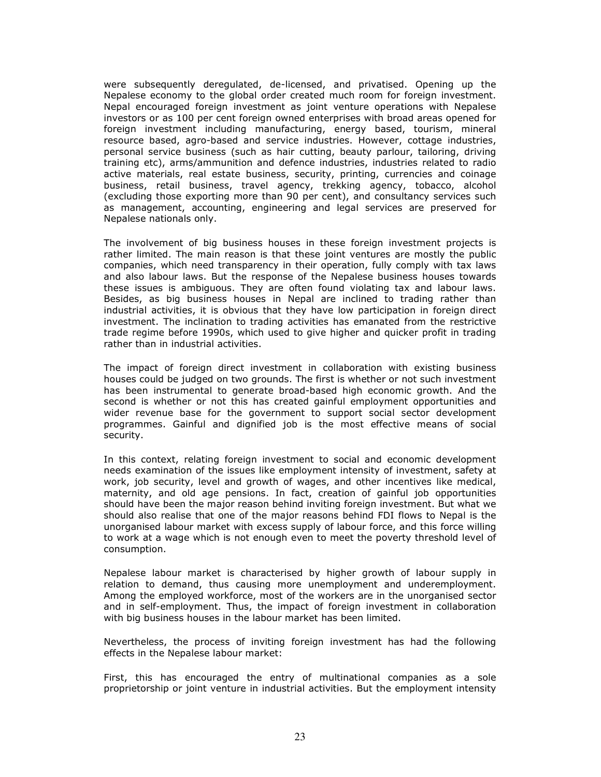were subsequently deregulated, de-licensed, and privatised. Opening up the Nepalese economy to the global order created much room for foreign investment. Nepal encouraged foreign investment as joint venture operations with Nepalese investors or as 100 per cent foreign owned enterprises with broad areas opened for foreign investment including manufacturing, energy based, tourism, mineral resource based, agro-based and service industries. However, cottage industries, personal service business (such as hair cutting, beauty parlour, tailoring, driving training etc), arms/ammunition and defence industries, industries related to radio active materials, real estate business, security, printing, currencies and coinage business, retail business, travel agency, trekking agency, tobacco, alcohol (excluding those exporting more than 90 per cent), and consultancy services such as management, accounting, engineering and legal services are preserved for Nepalese nationals only.

The involvement of big business houses in these foreign investment projects is rather limited. The main reason is that these joint ventures are mostly the public companies, which need transparency in their operation, fully comply with tax laws and also labour laws. But the response of the Nepalese business houses towards these issues is ambiguous. They are often found violating tax and labour laws. Besides, as big business houses in Nepal are inclined to trading rather than industrial activities, it is obvious that they have low participation in foreign direct investment. The inclination to trading activities has emanated from the restrictive trade regime before 1990s, which used to give higher and quicker profit in trading rather than in industrial activities.

The impact of foreign direct investment in collaboration with existing business houses could be judged on two grounds. The first is whether or not such investment has been instrumental to generate broad-based high economic growth. And the second is whether or not this has created gainful employment opportunities and wider revenue base for the government to support social sector development programmes. Gainful and dignified job is the most effective means of social security.

In this context, relating foreign investment to social and economic development needs examination of the issues like employment intensity of investment, safety at work, job security, level and growth of wages, and other incentives like medical, maternity, and old age pensions. In fact, creation of gainful job opportunities should have been the major reason behind inviting foreign investment. But what we should also realise that one of the major reasons behind FDI flows to Nepal is the unorganised labour market with excess supply of labour force, and this force willing to work at a wage which is not enough even to meet the poverty threshold level of consumption.

Nepalese labour market is characterised by higher growth of labour supply in relation to demand, thus causing more unemployment and underemployment. Among the employed workforce, most of the workers are in the unorganised sector and in self-employment. Thus, the impact of foreign investment in collaboration with big business houses in the labour market has been limited.

Nevertheless, the process of inviting foreign investment has had the following effects in the Nepalese labour market:

First, this has encouraged the entry of multinational companies as a sole proprietorship or joint venture in industrial activities. But the employment intensity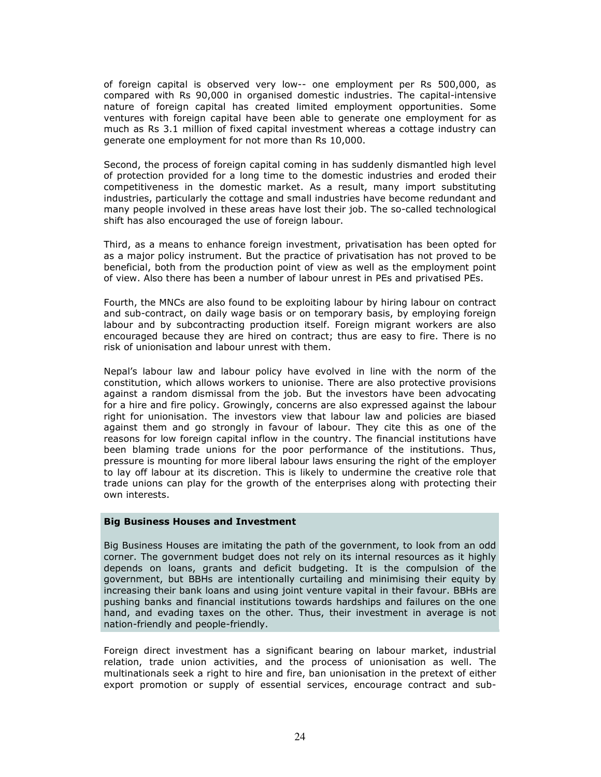of foreign capital is observed very low-- one employment per Rs 500,000, as compared with Rs 90,000 in organised domestic industries. The capital-intensive nature of foreign capital has created limited employment opportunities. Some ventures with foreign capital have been able to generate one employment for as much as Rs 3.1 million of fixed capital investment whereas a cottage industry can generate one employment for not more than Rs 10,000.

Second, the process of foreign capital coming in has suddenly dismantled high level of protection provided for a long time to the domestic industries and eroded their competitiveness in the domestic market. As a result, many import substituting industries, particularly the cottage and small industries have become redundant and many people involved in these areas have lost their job. The so-called technological shift has also encouraged the use of foreign labour.

Third, as a means to enhance foreign investment, privatisation has been opted for as a major policy instrument. But the practice of privatisation has not proved to be beneficial, both from the production point of view as well as the employment point of view. Also there has been a number of labour unrest in PEs and privatised PEs.

Fourth, the MNCs are also found to be exploiting labour by hiring labour on contract and sub-contract, on daily wage basis or on temporary basis, by employing foreign labour and by subcontracting production itself. Foreign migrant workers are also encouraged because they are hired on contract; thus are easy to fire. There is no risk of unionisation and labour unrest with them.

Nepal's labour law and labour policy have evolved in line with the norm of the constitution, which allows workers to unionise. There are also protective provisions against a random dismissal from the job. But the investors have been advocating for a hire and fire policy. Growingly, concerns are also expressed against the labour right for unionisation. The investors view that labour law and policies are biased against them and go strongly in favour of labour. They cite this as one of the reasons for low foreign capital inflow in the country. The financial institutions have been blaming trade unions for the poor performance of the institutions. Thus, pressure is mounting for more liberal labour laws ensuring the right of the employer to lay off labour at its discretion. This is likely to undermine the creative role that trade unions can play for the growth of the enterprises along with protecting their own interests.

### Big Business Houses and Investment

Big Business Houses are imitating the path of the government, to look from an odd corner. The government budget does not rely on its internal resources as it highly depends on loans, grants and deficit budgeting. It is the compulsion of the government, but BBHs are intentionally curtailing and minimising their equity by increasing their bank loans and using joint venture vapital in their favour. BBHs are pushing banks and financial institutions towards hardships and failures on the one hand, and evading taxes on the other. Thus, their investment in average is not nation-friendly and people-friendly.

Foreign direct investment has a significant bearing on labour market, industrial relation, trade union activities, and the process of unionisation as well. The multinationals seek a right to hire and fire, ban unionisation in the pretext of either export promotion or supply of essential services, encourage contract and sub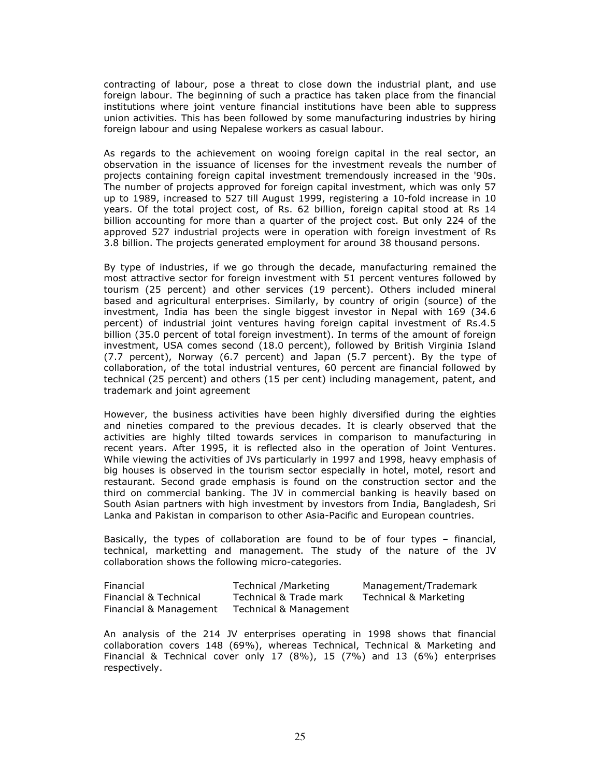contracting of labour, pose a threat to close down the industrial plant, and use foreign labour. The beginning of such a practice has taken place from the financial institutions where joint venture financial institutions have been able to suppress union activities. This has been followed by some manufacturing industries by hiring foreign labour and using Nepalese workers as casual labour.

As regards to the achievement on wooing foreign capital in the real sector, an observation in the issuance of licenses for the investment reveals the number of projects containing foreign capital investment tremendously increased in the '90s. The number of projects approved for foreign capital investment, which was only 57 up to 1989, increased to 527 till August 1999, registering a 10-fold increase in 10 years. Of the total project cost, of Rs. 62 billion, foreign capital stood at Rs 14 billion accounting for more than a quarter of the project cost. But only 224 of the approved 527 industrial projects were in operation with foreign investment of Rs 3.8 billion. The projects generated employment for around 38 thousand persons.

By type of industries, if we go through the decade, manufacturing remained the most attractive sector for foreign investment with 51 percent ventures followed by tourism (25 percent) and other services (19 percent). Others included mineral based and agricultural enterprises. Similarly, by country of origin (source) of the investment, India has been the single biggest investor in Nepal with 169 (34.6 percent) of industrial joint ventures having foreign capital investment of Rs.4.5 billion (35.0 percent of total foreign investment). In terms of the amount of foreign investment, USA comes second (18.0 percent), followed by British Virginia Island (7.7 percent), Norway (6.7 percent) and Japan (5.7 percent). By the type of collaboration, of the total industrial ventures, 60 percent are financial followed by technical (25 percent) and others (15 per cent) including management, patent, and trademark and joint agreement

However, the business activities have been highly diversified during the eighties and nineties compared to the previous decades. It is clearly observed that the activities are highly tilted towards services in comparison to manufacturing in recent years. After 1995, it is reflected also in the operation of Joint Ventures. While viewing the activities of JVs particularly in 1997 and 1998, heavy emphasis of big houses is observed in the tourism sector especially in hotel, motel, resort and restaurant. Second grade emphasis is found on the construction sector and the third on commercial banking. The JV in commercial banking is heavily based on South Asian partners with high investment by investors from India, Bangladesh, Sri Lanka and Pakistan in comparison to other Asia-Pacific and European countries.

Basically, the types of collaboration are found to be of four types – financial, technical, marketting and management. The study of the nature of the JV collaboration shows the following micro-categories.

| Financial              | Technical /Marketing   | Management/Trademark  |
|------------------------|------------------------|-----------------------|
| Financial & Technical  | Technical & Trade mark | Technical & Marketing |
| Financial & Management | Technical & Management |                       |

An analysis of the 214 JV enterprises operating in 1998 shows that financial collaboration covers 148 (69%), whereas Technical, Technical & Marketing and Financial & Technical cover only 17 (8%), 15 (7%) and 13 (6%) enterprises respectively.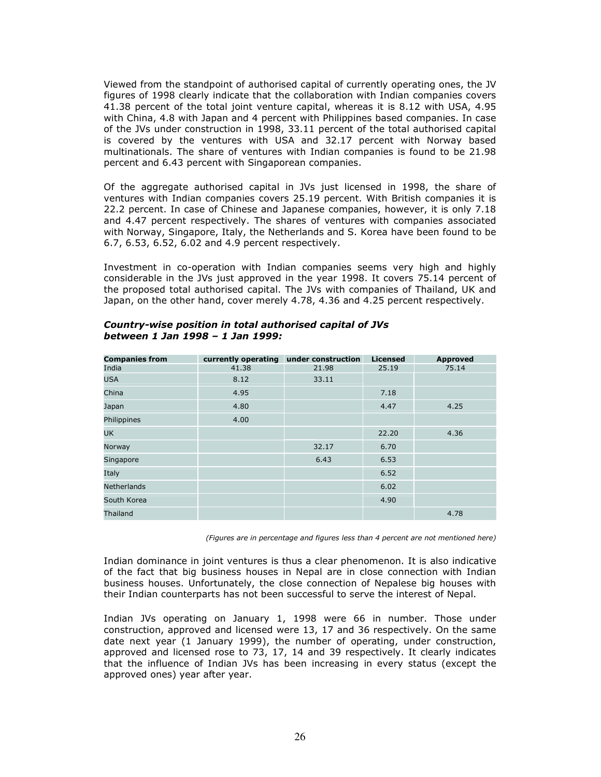Viewed from the standpoint of authorised capital of currently operating ones, the JV figures of 1998 clearly indicate that the collaboration with Indian companies covers 41.38 percent of the total joint venture capital, whereas it is 8.12 with USA, 4.95 with China, 4.8 with Japan and 4 percent with Philippines based companies. In case of the JVs under construction in 1998, 33.11 percent of the total authorised capital is covered by the ventures with USA and 32.17 percent with Norway based multinationals. The share of ventures with Indian companies is found to be 21.98 percent and 6.43 percent with Singaporean companies.

Of the aggregate authorised capital in JVs just licensed in 1998, the share of ventures with Indian companies covers 25.19 percent. With British companies it is 22.2 percent. In case of Chinese and Japanese companies, however, it is only 7.18 and 4.47 percent respectively. The shares of ventures with companies associated with Norway, Singapore, Italy, the Netherlands and S. Korea have been found to be 6.7, 6.53, 6.52, 6.02 and 4.9 percent respectively.

Investment in co-operation with Indian companies seems very high and highly considerable in the JVs just approved in the year 1998. It covers 75.14 percent of the proposed total authorised capital. The JVs with companies of Thailand, UK and Japan, on the other hand, cover merely 4.78, 4.36 and 4.25 percent respectively.

| <b>Companies from</b> | currently operating under construction |       | <b>Licensed</b> | <b>Approved</b> |
|-----------------------|----------------------------------------|-------|-----------------|-----------------|
| India                 | 41.38                                  | 21.98 | 25.19           | 75.14           |
| <b>USA</b>            | 8.12                                   | 33.11 |                 |                 |
| China                 | 4.95                                   |       | 7.18            |                 |
| Japan                 | 4.80                                   |       | 4.47            | 4.25            |
| Philippines           | 4.00                                   |       |                 |                 |
| <b>UK</b>             |                                        |       | 22.20           | 4.36            |
| Norway                |                                        | 32.17 | 6.70            |                 |
| Singapore             |                                        | 6.43  | 6.53            |                 |
| Italy                 |                                        |       | 6.52            |                 |
| <b>Netherlands</b>    |                                        |       | 6.02            |                 |
| South Korea           |                                        |       | 4.90            |                 |
| Thailand              |                                        |       |                 | 4.78            |

### Country-wise position in total authorised capital of JVs between 1 Jan 1998 – 1 Jan 1999:

(Figures are in percentage and figures less than 4 percent are not mentioned here)

Indian dominance in joint ventures is thus a clear phenomenon. It is also indicative of the fact that big business houses in Nepal are in close connection with Indian business houses. Unfortunately, the close connection of Nepalese big houses with their Indian counterparts has not been successful to serve the interest of Nepal.

Indian JVs operating on January 1, 1998 were 66 in number. Those under construction, approved and licensed were 13, 17 and 36 respectively. On the same date next year (1 January 1999), the number of operating, under construction, approved and licensed rose to 73, 17, 14 and 39 respectively. It clearly indicates that the influence of Indian JVs has been increasing in every status (except the approved ones) year after year.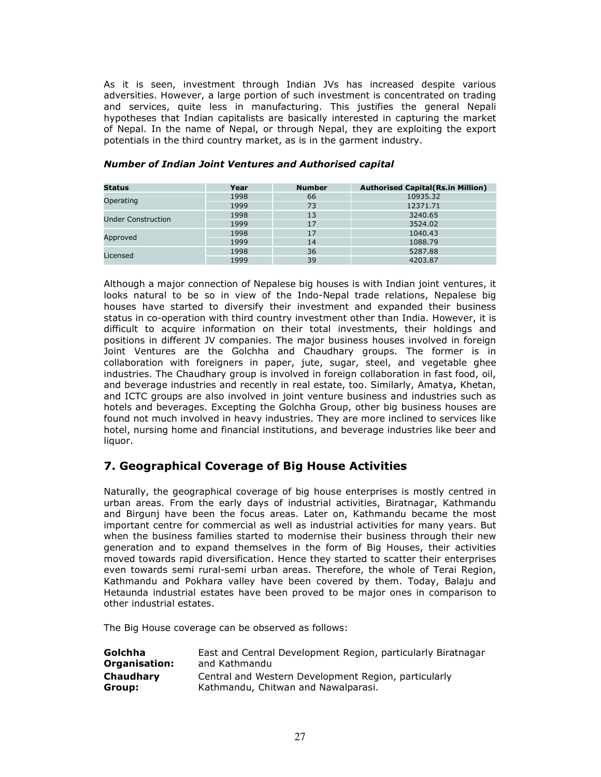As it is seen, investment through Indian JVs has increased despite various adversities. However, a large portion of such investment is concentrated on trading and services, quite less in manufacturing. This justifies the general Nepali hypotheses that Indian capitalists are basically interested in capturing the market of Nepal. In the name of Nepal, or through Nepal, they are exploiting the export potentials in the third country market, as is in the garment industry.

| <b>Status</b>             | Year | <b>Number</b> | <b>Authorised Capital (Rs.in Million)</b> |
|---------------------------|------|---------------|-------------------------------------------|
|                           | 1998 | 66            | 10935.32                                  |
| Operating                 | 1999 | 73            | 12371.71                                  |
| <b>Under Construction</b> | 1998 | 13            | 3240.65                                   |
|                           | 1999 | 17            | 3524.02                                   |
| Approved                  | 1998 | 17            | 1040.43                                   |
|                           | 1999 | 14            | 1088.79                                   |
| Licensed                  | 1998 | 36            | 5287.88                                   |
|                           | 1999 | 39            | 4203.87                                   |

### Number of Indian Joint Ventures and Authorised capital

Although a major connection of Nepalese big houses is with Indian joint ventures, it looks natural to be so in view of the Indo-Nepal trade relations, Nepalese big houses have started to diversify their investment and expanded their business status in co-operation with third country investment other than India. However, it is difficult to acquire information on their total investments, their holdings and positions in different JV companies. The major business houses involved in foreign Joint Ventures are the Golchha and Chaudhary groups. The former is in collaboration with foreigners in paper, jute, sugar, steel, and vegetable ghee industries. The Chaudhary group is involved in foreign collaboration in fast food, oil, and beverage industries and recently in real estate, too. Similarly, Amatya, Khetan, and ICTC groups are also involved in joint venture business and industries such as hotels and beverages. Excepting the Golchha Group, other big business houses are found not much involved in heavy industries. They are more inclined to services like hotel, nursing home and financial institutions, and beverage industries like beer and liquor.

# 7. Geographical Coverage of Big House Activities

Naturally, the geographical coverage of big house enterprises is mostly centred in urban areas. From the early days of industrial activities, Biratnagar, Kathmandu and Birgunj have been the focus areas. Later on, Kathmandu became the most important centre for commercial as well as industrial activities for many years. But when the business families started to modernise their business through their new generation and to expand themselves in the form of Big Houses, their activities moved towards rapid diversification. Hence they started to scatter their enterprises even towards semi rural-semi urban areas. Therefore, the whole of Terai Region, Kathmandu and Pokhara valley have been covered by them. Today, Balaju and Hetaunda industrial estates have been proved to be major ones in comparison to other industrial estates.

The Big House coverage can be observed as follows:

| Golchha              | East and Central Development Region, particularly Biratnagar |
|----------------------|--------------------------------------------------------------|
| <b>Organisation:</b> | and Kathmandu                                                |
| Chaudhary            | Central and Western Development Region, particularly         |
| Group:               | Kathmandu, Chitwan and Nawalparasi.                          |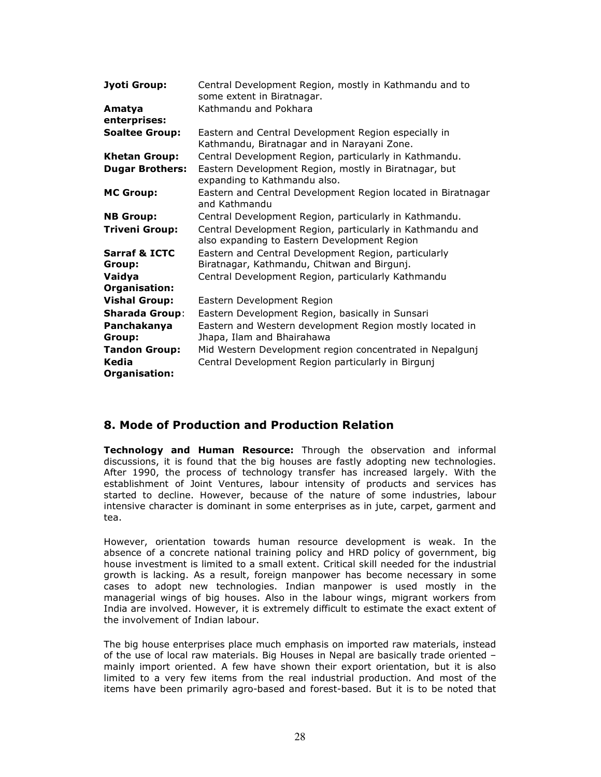| Jyoti Group:                       | Central Development Region, mostly in Kathmandu and to<br>some extent in Biratnagar.                      |
|------------------------------------|-----------------------------------------------------------------------------------------------------------|
| Amatya<br>enterprises:             | Kathmandu and Pokhara                                                                                     |
| <b>Soaltee Group:</b>              | Eastern and Central Development Region especially in<br>Kathmandu, Biratnagar and in Narayani Zone.       |
| <b>Khetan Group:</b>               | Central Development Region, particularly in Kathmandu.                                                    |
| <b>Dugar Brothers:</b>             | Eastern Development Region, mostly in Biratnagar, but<br>expanding to Kathmandu also.                     |
| <b>MC Group:</b>                   | Eastern and Central Development Region located in Biratnagar<br>and Kathmandu                             |
| <b>NB Group:</b>                   | Central Development Region, particularly in Kathmandu.                                                    |
| <b>Triveni Group:</b>              | Central Development Region, particularly in Kathmandu and<br>also expanding to Eastern Development Region |
| <b>Sarraf &amp; ICTC</b><br>Group: | Eastern and Central Development Region, particularly<br>Biratnagar, Kathmandu, Chitwan and Birgunj.       |
| Vaidya<br>Organisation:            | Central Development Region, particularly Kathmandu                                                        |
| <b>Vishal Group:</b>               | Eastern Development Region                                                                                |
| <b>Sharada Group:</b>              | Eastern Development Region, basically in Sunsari                                                          |
| Panchakanya<br>Group:              | Eastern and Western development Region mostly located in<br>Jhapa, Ilam and Bhairahawa                    |
| <b>Tandon Group:</b>               | Mid Western Development region concentrated in Nepalgunj                                                  |
| Kedia<br>Organisation:             | Central Development Region particularly in Birgunj                                                        |

# 8. Mode of Production and Production Relation

Technology and Human Resource: Through the observation and informal discussions, it is found that the big houses are fastly adopting new technologies. After 1990, the process of technology transfer has increased largely. With the establishment of Joint Ventures, labour intensity of products and services has started to decline. However, because of the nature of some industries, labour intensive character is dominant in some enterprises as in jute, carpet, garment and tea.

However, orientation towards human resource development is weak. In the absence of a concrete national training policy and HRD policy of government, big house investment is limited to a small extent. Critical skill needed for the industrial growth is lacking. As a result, foreign manpower has become necessary in some cases to adopt new technologies. Indian manpower is used mostly in the managerial wings of big houses. Also in the labour wings, migrant workers from India are involved. However, it is extremely difficult to estimate the exact extent of the involvement of Indian labour.

The big house enterprises place much emphasis on imported raw materials, instead of the use of local raw materials. Big Houses in Nepal are basically trade oriented – mainly import oriented. A few have shown their export orientation, but it is also limited to a very few items from the real industrial production. And most of the items have been primarily agro-based and forest-based. But it is to be noted that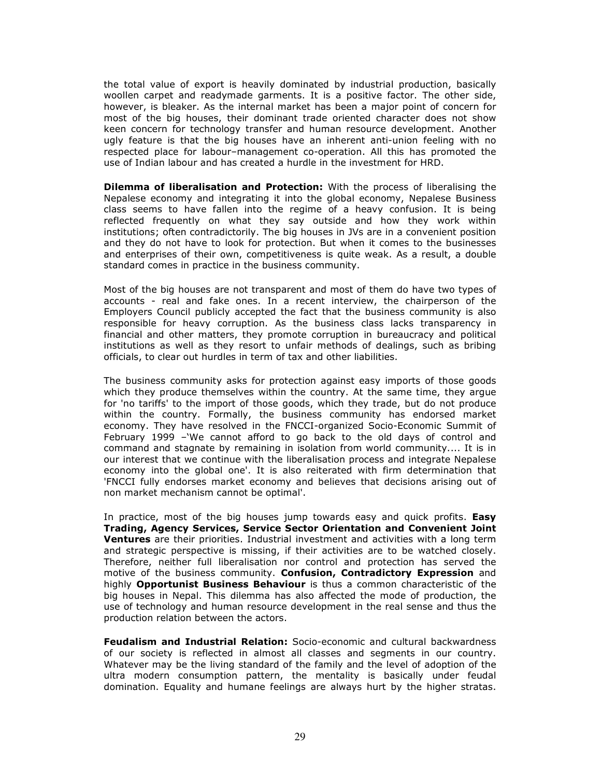the total value of export is heavily dominated by industrial production, basically woollen carpet and readymade garments. It is a positive factor. The other side, however, is bleaker. As the internal market has been a major point of concern for most of the big houses, their dominant trade oriented character does not show keen concern for technology transfer and human resource development. Another ugly feature is that the big houses have an inherent anti-union feeling with no respected place for labour–management co-operation. All this has promoted the use of Indian labour and has created a hurdle in the investment for HRD.

**Dilemma of liberalisation and Protection:** With the process of liberalising the Nepalese economy and integrating it into the global economy, Nepalese Business class seems to have fallen into the regime of a heavy confusion. It is being reflected frequently on what they say outside and how they work within institutions; often contradictorily. The big houses in JVs are in a convenient position and they do not have to look for protection. But when it comes to the businesses and enterprises of their own, competitiveness is quite weak. As a result, a double standard comes in practice in the business community.

Most of the big houses are not transparent and most of them do have two types of accounts - real and fake ones. In a recent interview, the chairperson of the Employers Council publicly accepted the fact that the business community is also responsible for heavy corruption. As the business class lacks transparency in financial and other matters, they promote corruption in bureaucracy and political institutions as well as they resort to unfair methods of dealings, such as bribing officials, to clear out hurdles in term of tax and other liabilities.

The business community asks for protection against easy imports of those goods which they produce themselves within the country. At the same time, they argue for 'no tariffs' to the import of those goods, which they trade, but do not produce within the country. Formally, the business community has endorsed market economy. They have resolved in the FNCCI-organized Socio-Economic Summit of February 1999 –'We cannot afford to go back to the old days of control and command and stagnate by remaining in isolation from world community.... It is in our interest that we continue with the liberalisation process and integrate Nepalese economy into the global one'. It is also reiterated with firm determination that 'FNCCI fully endorses market economy and believes that decisions arising out of non market mechanism cannot be optimal'.

In practice, most of the big houses jump towards easy and quick profits. Easy Trading, Agency Services, Service Sector Orientation and Convenient Joint Ventures are their priorities. Industrial investment and activities with a long term and strategic perspective is missing, if their activities are to be watched closely. Therefore, neither full liberalisation nor control and protection has served the motive of the business community. Confusion, Contradictory Expression and highly Opportunist Business Behaviour is thus a common characteristic of the big houses in Nepal. This dilemma has also affected the mode of production, the use of technology and human resource development in the real sense and thus the production relation between the actors.

Feudalism and Industrial Relation: Socio-economic and cultural backwardness of our society is reflected in almost all classes and segments in our country. Whatever may be the living standard of the family and the level of adoption of the ultra modern consumption pattern, the mentality is basically under feudal domination. Equality and humane feelings are always hurt by the higher stratas.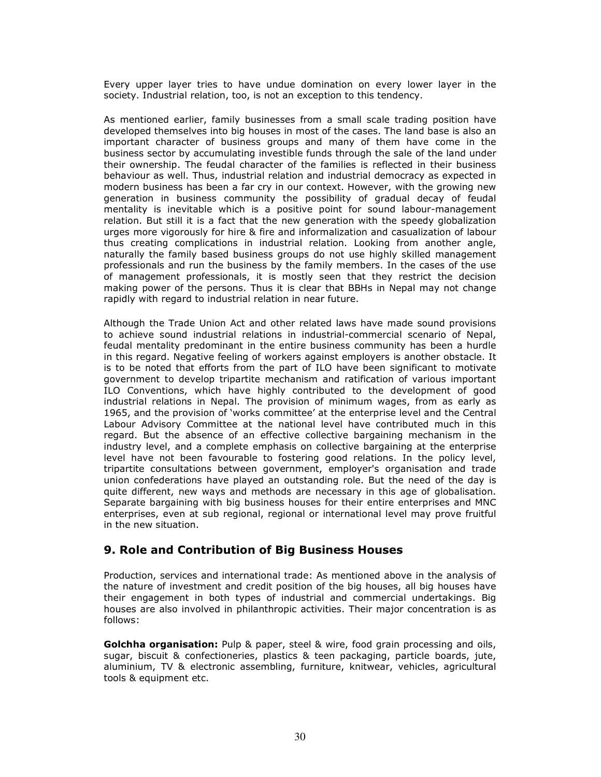Every upper layer tries to have undue domination on every lower layer in the society. Industrial relation, too, is not an exception to this tendency.

As mentioned earlier, family businesses from a small scale trading position have developed themselves into big houses in most of the cases. The land base is also an important character of business groups and many of them have come in the business sector by accumulating investible funds through the sale of the land under their ownership. The feudal character of the families is reflected in their business behaviour as well. Thus, industrial relation and industrial democracy as expected in modern business has been a far cry in our context. However, with the growing new generation in business community the possibility of gradual decay of feudal mentality is inevitable which is a positive point for sound labour-management relation. But still it is a fact that the new generation with the speedy globalization urges more vigorously for hire & fire and informalization and casualization of labour thus creating complications in industrial relation. Looking from another angle, naturally the family based business groups do not use highly skilled management professionals and run the business by the family members. In the cases of the use of management professionals, it is mostly seen that they restrict the decision making power of the persons. Thus it is clear that BBHs in Nepal may not change rapidly with regard to industrial relation in near future.

Although the Trade Union Act and other related laws have made sound provisions to achieve sound industrial relations in industrial-commercial scenario of Nepal, feudal mentality predominant in the entire business community has been a hurdle in this regard. Negative feeling of workers against employers is another obstacle. It is to be noted that efforts from the part of ILO have been significant to motivate government to develop tripartite mechanism and ratification of various important ILO Conventions, which have highly contributed to the development of good industrial relations in Nepal. The provision of minimum wages, from as early as 1965, and the provision of 'works committee' at the enterprise level and the Central Labour Advisory Committee at the national level have contributed much in this regard. But the absence of an effective collective bargaining mechanism in the industry level, and a complete emphasis on collective bargaining at the enterprise level have not been favourable to fostering good relations. In the policy level, tripartite consultations between government, employer's organisation and trade union confederations have played an outstanding role. But the need of the day is quite different, new ways and methods are necessary in this age of globalisation. Separate bargaining with big business houses for their entire enterprises and MNC enterprises, even at sub regional, regional or international level may prove fruitful in the new situation.

# 9. Role and Contribution of Big Business Houses

Production, services and international trade: As mentioned above in the analysis of the nature of investment and credit position of the big houses, all big houses have their engagement in both types of industrial and commercial undertakings. Big houses are also involved in philanthropic activities. Their major concentration is as follows:

Golchha organisation: Pulp & paper, steel & wire, food grain processing and oils, sugar, biscuit & confectioneries, plastics & teen packaging, particle boards, jute, aluminium, TV & electronic assembling, furniture, knitwear, vehicles, agricultural tools & equipment etc.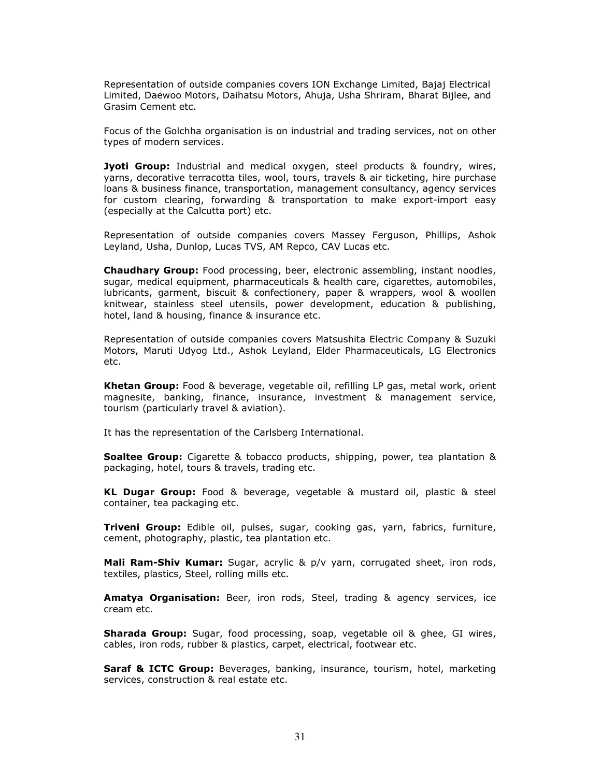Representation of outside companies covers ION Exchange Limited, Bajaj Electrical Limited, Daewoo Motors, Daihatsu Motors, Ahuja, Usha Shriram, Bharat Bijlee, and Grasim Cement etc.

Focus of the Golchha organisation is on industrial and trading services, not on other types of modern services.

Jyoti Group: Industrial and medical oxygen, steel products & foundry, wires, yarns, decorative terracotta tiles, wool, tours, travels & air ticketing, hire purchase loans & business finance, transportation, management consultancy, agency services for custom clearing, forwarding & transportation to make export-import easy (especially at the Calcutta port) etc.

Representation of outside companies covers Massey Ferguson, Phillips, Ashok Leyland, Usha, Dunlop, Lucas TVS, AM Repco, CAV Lucas etc.

Chaudhary Group: Food processing, beer, electronic assembling, instant noodles, sugar, medical equipment, pharmaceuticals & health care, cigarettes, automobiles, lubricants, garment, biscuit & confectionery, paper & wrappers, wool & woollen knitwear, stainless steel utensils, power development, education & publishing, hotel, land & housing, finance & insurance etc.

Representation of outside companies covers Matsushita Electric Company & Suzuki Motors, Maruti Udyog Ltd., Ashok Leyland, Elder Pharmaceuticals, LG Electronics etc.

Khetan Group: Food & beverage, vegetable oil, refilling LP gas, metal work, orient magnesite, banking, finance, insurance, investment & management service, tourism (particularly travel & aviation).

It has the representation of the Carlsberg International.

**Soaltee Group:** Cigarette & tobacco products, shipping, power, tea plantation & packaging, hotel, tours & travels, trading etc.

KL Dugar Group: Food & beverage, vegetable & mustard oil, plastic & steel container, tea packaging etc.

Triveni Group: Edible oil, pulses, sugar, cooking gas, yarn, fabrics, furniture, cement, photography, plastic, tea plantation etc.

Mali Ram-Shiv Kumar: Sugar, acrylic & p/v yarn, corrugated sheet, iron rods, textiles, plastics, Steel, rolling mills etc.

Amatya Organisation: Beer, iron rods, Steel, trading & agency services, ice cream etc.

Sharada Group: Sugar, food processing, soap, vegetable oil & ghee, GI wires, cables, iron rods, rubber & plastics, carpet, electrical, footwear etc.

Saraf & ICTC Group: Beverages, banking, insurance, tourism, hotel, marketing services, construction & real estate etc.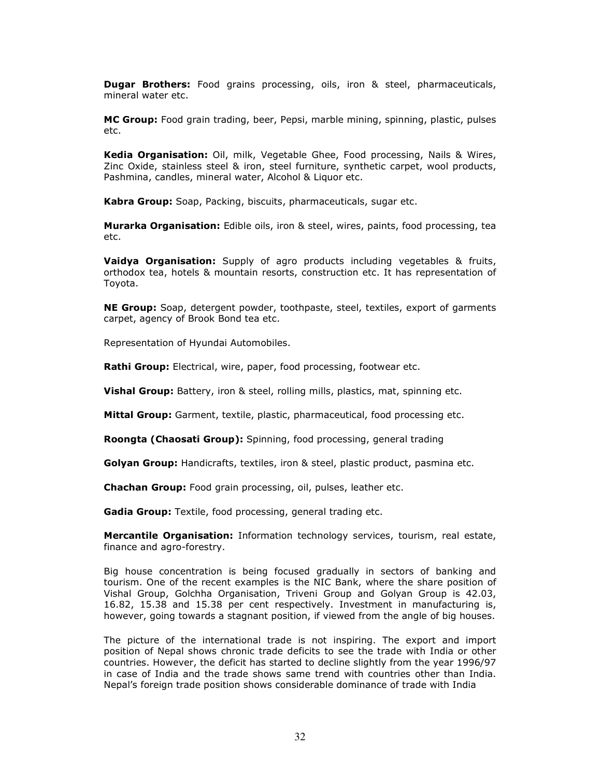**Dugar Brothers:** Food grains processing, oils, iron & steel, pharmaceuticals, mineral water etc.

MC Group: Food grain trading, beer, Pepsi, marble mining, spinning, plastic, pulses etc.

Kedia Organisation: Oil, milk, Vegetable Ghee, Food processing, Nails & Wires, Zinc Oxide, stainless steel & iron, steel furniture, synthetic carpet, wool products, Pashmina, candles, mineral water, Alcohol & Liquor etc.

Kabra Group: Soap, Packing, biscuits, pharmaceuticals, sugar etc.

**Murarka Organisation:** Edible oils, iron & steel, wires, paints, food processing, tea etc.

**Vaidya Organisation:** Supply of agro products including vegetables & fruits, orthodox tea, hotels & mountain resorts, construction etc. It has representation of Toyota.

NE Group: Soap, detergent powder, toothpaste, steel, textiles, export of garments carpet, agency of Brook Bond tea etc.

Representation of Hyundai Automobiles.

Rathi Group: Electrical, wire, paper, food processing, footwear etc.

**Vishal Group:** Battery, iron & steel, rolling mills, plastics, mat, spinning etc.

Mittal Group: Garment, textile, plastic, pharmaceutical, food processing etc.

Roongta (Chaosati Group): Spinning, food processing, general trading

Golyan Group: Handicrafts, textiles, iron & steel, plastic product, pasmina etc.

Chachan Group: Food grain processing, oil, pulses, leather etc.

Gadia Group: Textile, food processing, general trading etc.

**Mercantile Organisation:** Information technology services, tourism, real estate, finance and agro-forestry.

Big house concentration is being focused gradually in sectors of banking and tourism. One of the recent examples is the NIC Bank, where the share position of Vishal Group, Golchha Organisation, Triveni Group and Golyan Group is 42.03, 16.82, 15.38 and 15.38 per cent respectively. Investment in manufacturing is, however, going towards a stagnant position, if viewed from the angle of big houses.

The picture of the international trade is not inspiring. The export and import position of Nepal shows chronic trade deficits to see the trade with India or other countries. However, the deficit has started to decline slightly from the year 1996/97 in case of India and the trade shows same trend with countries other than India. Nepal's foreign trade position shows considerable dominance of trade with India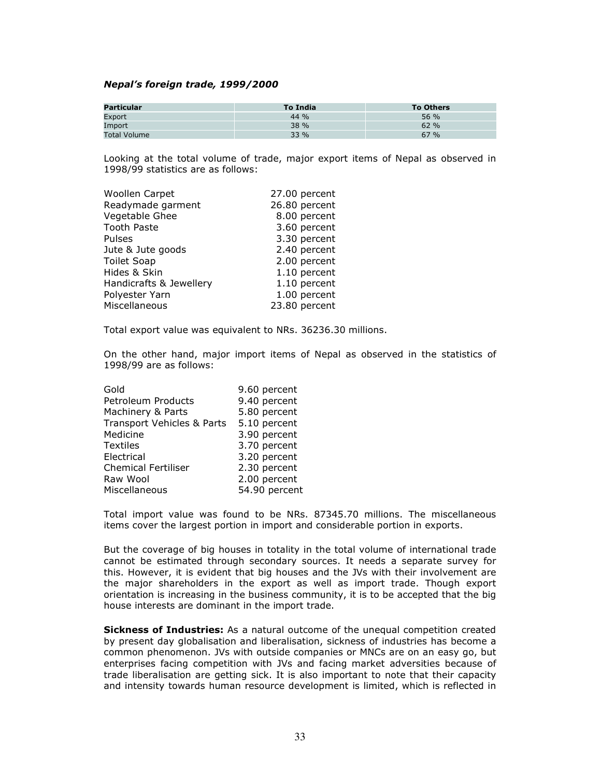#### Nepal's foreign trade, 1999/2000

| Particular          | To India | <b>To Others</b> |
|---------------------|----------|------------------|
| Export              | $44\%$   | 56 %             |
| Import              | 38 %     | 62 %             |
| <b>Total Volume</b> | 33 %     | 67 %             |

Looking at the total volume of trade, major export items of Nepal as observed in 1998/99 statistics are as follows:

| Woollen Carpet          | 27.00 percent |
|-------------------------|---------------|
| Readymade garment       | 26.80 percent |
| Vegetable Ghee          | 8.00 percent  |
| <b>Tooth Paste</b>      | 3.60 percent  |
| <b>Pulses</b>           | 3.30 percent  |
| Jute & Jute goods       | 2.40 percent  |
| <b>Toilet Soap</b>      | 2.00 percent  |
| Hides & Skin            | 1.10 percent  |
| Handicrafts & Jewellery | 1.10 percent  |
| Polyester Yarn          | 1.00 percent  |
| Miscellaneous           | 23.80 percent |

Total export value was equivalent to NRs. 36236.30 millions.

On the other hand, major import items of Nepal as observed in the statistics of 1998/99 are as follows:

| Gold                       | 9.60 percent  |
|----------------------------|---------------|
| Petroleum Products         | 9.40 percent  |
| Machinery & Parts          | 5.80 percent  |
| Transport Vehicles & Parts | 5.10 percent  |
| Medicine                   | 3.90 percent  |
| <b>Textiles</b>            | 3.70 percent  |
| Electrical                 | 3.20 percent  |
| <b>Chemical Fertiliser</b> | 2.30 percent  |
| Raw Wool                   | 2.00 percent  |
| Miscellaneous              | 54.90 percent |
|                            |               |

Total import value was found to be NRs. 87345.70 millions. The miscellaneous items cover the largest portion in import and considerable portion in exports.

But the coverage of big houses in totality in the total volume of international trade cannot be estimated through secondary sources. It needs a separate survey for this. However, it is evident that big houses and the JVs with their involvement are the major shareholders in the export as well as import trade. Though export orientation is increasing in the business community, it is to be accepted that the big house interests are dominant in the import trade.

Sickness of Industries: As a natural outcome of the unequal competition created by present day globalisation and liberalisation, sickness of industries has become a common phenomenon. JVs with outside companies or MNCs are on an easy go, but enterprises facing competition with JVs and facing market adversities because of trade liberalisation are getting sick. It is also important to note that their capacity and intensity towards human resource development is limited, which is reflected in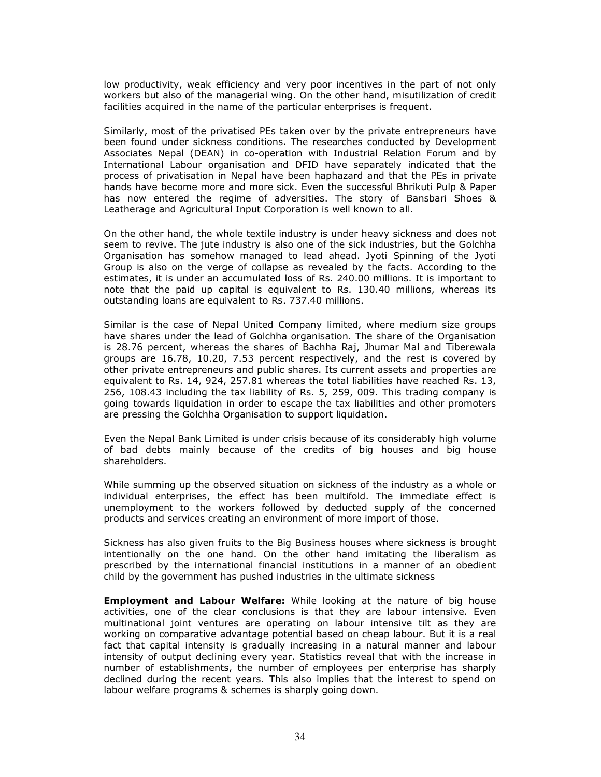low productivity, weak efficiency and very poor incentives in the part of not only workers but also of the managerial wing. On the other hand, misutilization of credit facilities acquired in the name of the particular enterprises is frequent.

Similarly, most of the privatised PEs taken over by the private entrepreneurs have been found under sickness conditions. The researches conducted by Development Associates Nepal (DEAN) in co-operation with Industrial Relation Forum and by International Labour organisation and DFID have separately indicated that the process of privatisation in Nepal have been haphazard and that the PEs in private hands have become more and more sick. Even the successful Bhrikuti Pulp & Paper has now entered the regime of adversities. The story of Bansbari Shoes & Leatherage and Agricultural Input Corporation is well known to all.

On the other hand, the whole textile industry is under heavy sickness and does not seem to revive. The jute industry is also one of the sick industries, but the Golchha Organisation has somehow managed to lead ahead. Jyoti Spinning of the Jyoti Group is also on the verge of collapse as revealed by the facts. According to the estimates, it is under an accumulated loss of Rs. 240.00 millions. It is important to note that the paid up capital is equivalent to Rs. 130.40 millions, whereas its outstanding loans are equivalent to Rs. 737.40 millions.

Similar is the case of Nepal United Company limited, where medium size groups have shares under the lead of Golchha organisation. The share of the Organisation is 28.76 percent, whereas the shares of Bachha Raj, Jhumar Mal and Tiberewala groups are 16.78, 10.20, 7.53 percent respectively, and the rest is covered by other private entrepreneurs and public shares. Its current assets and properties are equivalent to Rs. 14, 924, 257.81 whereas the total liabilities have reached Rs. 13, 256, 108.43 including the tax liability of Rs. 5, 259, 009. This trading company is going towards liquidation in order to escape the tax liabilities and other promoters are pressing the Golchha Organisation to support liquidation.

Even the Nepal Bank Limited is under crisis because of its considerably high volume of bad debts mainly because of the credits of big houses and big house shareholders.

While summing up the observed situation on sickness of the industry as a whole or individual enterprises, the effect has been multifold. The immediate effect is unemployment to the workers followed by deducted supply of the concerned products and services creating an environment of more import of those.

Sickness has also given fruits to the Big Business houses where sickness is brought intentionally on the one hand. On the other hand imitating the liberalism as prescribed by the international financial institutions in a manner of an obedient child by the government has pushed industries in the ultimate sickness

**Employment and Labour Welfare:** While looking at the nature of big house activities, one of the clear conclusions is that they are labour intensive. Even multinational joint ventures are operating on labour intensive tilt as they are working on comparative advantage potential based on cheap labour. But it is a real fact that capital intensity is gradually increasing in a natural manner and labour intensity of output declining every year. Statistics reveal that with the increase in number of establishments, the number of employees per enterprise has sharply declined during the recent years. This also implies that the interest to spend on labour welfare programs & schemes is sharply going down.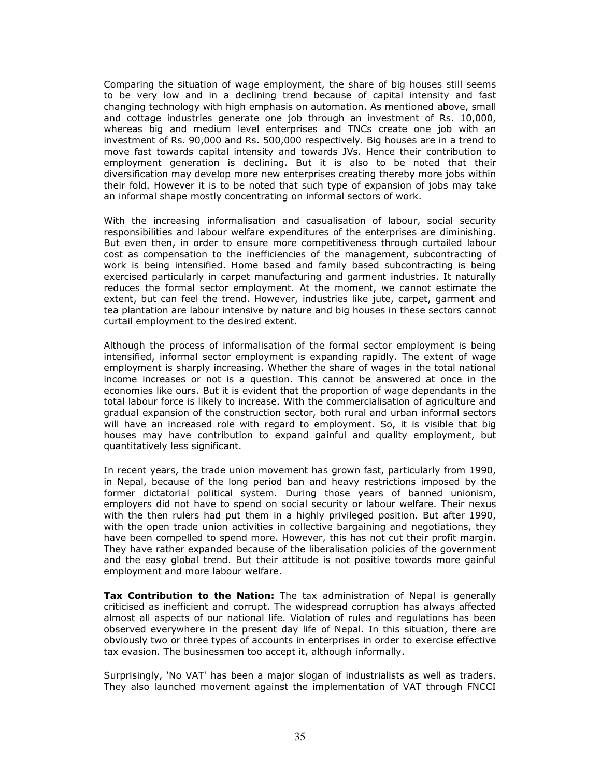Comparing the situation of wage employment, the share of big houses still seems to be very low and in a declining trend because of capital intensity and fast changing technology with high emphasis on automation. As mentioned above, small and cottage industries generate one job through an investment of Rs. 10,000, whereas big and medium level enterprises and TNCs create one job with an investment of Rs. 90,000 and Rs. 500,000 respectively. Big houses are in a trend to move fast towards capital intensity and towards JVs. Hence their contribution to employment generation is declining. But it is also to be noted that their diversification may develop more new enterprises creating thereby more jobs within their fold. However it is to be noted that such type of expansion of jobs may take an informal shape mostly concentrating on informal sectors of work.

With the increasing informalisation and casualisation of labour, social security responsibilities and labour welfare expenditures of the enterprises are diminishing. But even then, in order to ensure more competitiveness through curtailed labour cost as compensation to the inefficiencies of the management, subcontracting of work is being intensified. Home based and family based subcontracting is being exercised particularly in carpet manufacturing and garment industries. It naturally reduces the formal sector employment. At the moment, we cannot estimate the extent, but can feel the trend. However, industries like jute, carpet, garment and tea plantation are labour intensive by nature and big houses in these sectors cannot curtail employment to the desired extent.

Although the process of informalisation of the formal sector employment is being intensified, informal sector employment is expanding rapidly. The extent of wage employment is sharply increasing. Whether the share of wages in the total national income increases or not is a question. This cannot be answered at once in the economies like ours. But it is evident that the proportion of wage dependants in the total labour force is likely to increase. With the commercialisation of agriculture and gradual expansion of the construction sector, both rural and urban informal sectors will have an increased role with regard to employment. So, it is visible that big houses may have contribution to expand gainful and quality employment, but quantitatively less significant.

In recent years, the trade union movement has grown fast, particularly from 1990, in Nepal, because of the long period ban and heavy restrictions imposed by the former dictatorial political system. During those years of banned unionism, employers did not have to spend on social security or labour welfare. Their nexus with the then rulers had put them in a highly privileged position. But after 1990, with the open trade union activities in collective bargaining and negotiations, they have been compelled to spend more. However, this has not cut their profit margin. They have rather expanded because of the liberalisation policies of the government and the easy global trend. But their attitude is not positive towards more gainful employment and more labour welfare.

**Tax Contribution to the Nation:** The tax administration of Nepal is generally criticised as inefficient and corrupt. The widespread corruption has always affected almost all aspects of our national life. Violation of rules and regulations has been observed everywhere in the present day life of Nepal. In this situation, there are obviously two or three types of accounts in enterprises in order to exercise effective tax evasion. The businessmen too accept it, although informally.

Surprisingly, 'No VAT' has been a major slogan of industrialists as well as traders. They also launched movement against the implementation of VAT through FNCCI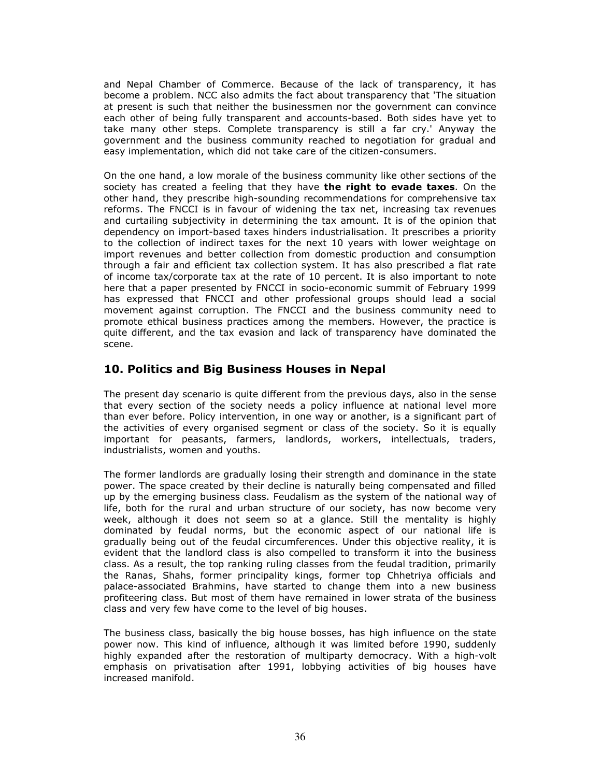and Nepal Chamber of Commerce. Because of the lack of transparency, it has become a problem. NCC also admits the fact about transparency that 'The situation at present is such that neither the businessmen nor the government can convince each other of being fully transparent and accounts-based. Both sides have yet to take many other steps. Complete transparency is still a far cry.' Anyway the government and the business community reached to negotiation for gradual and easy implementation, which did not take care of the citizen-consumers.

On the one hand, a low morale of the business community like other sections of the society has created a feeling that they have the right to evade taxes. On the other hand, they prescribe high-sounding recommendations for comprehensive tax reforms. The FNCCI is in favour of widening the tax net, increasing tax revenues and curtailing subjectivity in determining the tax amount. It is of the opinion that dependency on import-based taxes hinders industrialisation. It prescribes a priority to the collection of indirect taxes for the next 10 years with lower weightage on import revenues and better collection from domestic production and consumption through a fair and efficient tax collection system. It has also prescribed a flat rate of income tax/corporate tax at the rate of 10 percent. It is also important to note here that a paper presented by FNCCI in socio-economic summit of February 1999 has expressed that FNCCI and other professional groups should lead a social movement against corruption. The FNCCI and the business community need to promote ethical business practices among the members. However, the practice is quite different, and the tax evasion and lack of transparency have dominated the scene.

# 10. Politics and Big Business Houses in Nepal

The present day scenario is quite different from the previous days, also in the sense that every section of the society needs a policy influence at national level more than ever before. Policy intervention, in one way or another, is a significant part of the activities of every organised segment or class of the society. So it is equally important for peasants, farmers, landlords, workers, intellectuals, traders, industrialists, women and youths.

The former landlords are gradually losing their strength and dominance in the state power. The space created by their decline is naturally being compensated and filled up by the emerging business class. Feudalism as the system of the national way of life, both for the rural and urban structure of our society, has now become very week, although it does not seem so at a glance. Still the mentality is highly dominated by feudal norms, but the economic aspect of our national life is gradually being out of the feudal circumferences. Under this objective reality, it is evident that the landlord class is also compelled to transform it into the business class. As a result, the top ranking ruling classes from the feudal tradition, primarily the Ranas, Shahs, former principality kings, former top Chhetriya officials and palace-associated Brahmins, have started to change them into a new business profiteering class. But most of them have remained in lower strata of the business class and very few have come to the level of big houses.

The business class, basically the big house bosses, has high influence on the state power now. This kind of influence, although it was limited before 1990, suddenly highly expanded after the restoration of multiparty democracy. With a high-volt emphasis on privatisation after 1991, lobbying activities of big houses have increased manifold.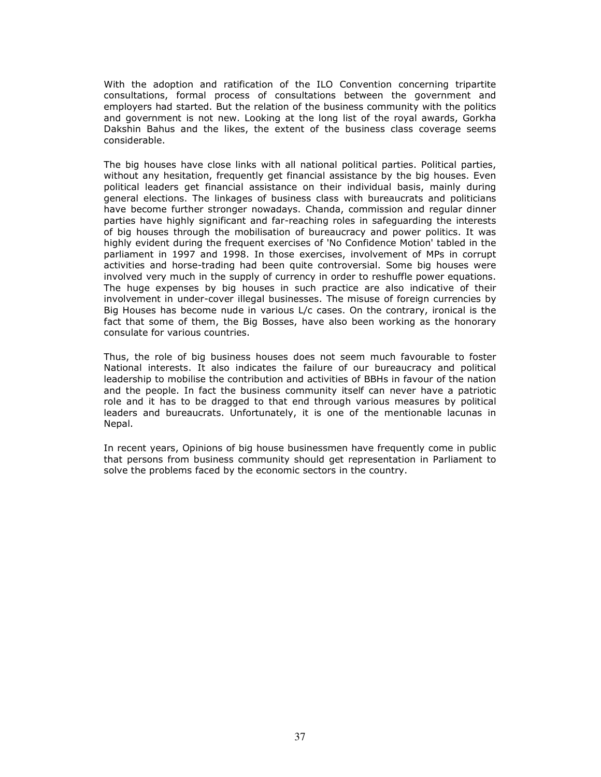With the adoption and ratification of the ILO Convention concerning tripartite consultations, formal process of consultations between the government and employers had started. But the relation of the business community with the politics and government is not new. Looking at the long list of the royal awards, Gorkha Dakshin Bahus and the likes, the extent of the business class coverage seems considerable.

The big houses have close links with all national political parties. Political parties, without any hesitation, frequently get financial assistance by the big houses. Even political leaders get financial assistance on their individual basis, mainly during general elections. The linkages of business class with bureaucrats and politicians have become further stronger nowadays. Chanda, commission and regular dinner parties have highly significant and far-reaching roles in safeguarding the interests of big houses through the mobilisation of bureaucracy and power politics. It was highly evident during the frequent exercises of 'No Confidence Motion' tabled in the parliament in 1997 and 1998. In those exercises, involvement of MPs in corrupt activities and horse-trading had been quite controversial. Some big houses were involved very much in the supply of currency in order to reshuffle power equations. The huge expenses by big houses in such practice are also indicative of their involvement in under-cover illegal businesses. The misuse of foreign currencies by Big Houses has become nude in various L/c cases. On the contrary, ironical is the fact that some of them, the Big Bosses, have also been working as the honorary consulate for various countries.

Thus, the role of big business houses does not seem much favourable to foster National interests. It also indicates the failure of our bureaucracy and political leadership to mobilise the contribution and activities of BBHs in favour of the nation and the people. In fact the business community itself can never have a patriotic role and it has to be dragged to that end through various measures by political leaders and bureaucrats. Unfortunately, it is one of the mentionable lacunas in Nepal.

In recent years, Opinions of big house businessmen have frequently come in public that persons from business community should get representation in Parliament to solve the problems faced by the economic sectors in the country.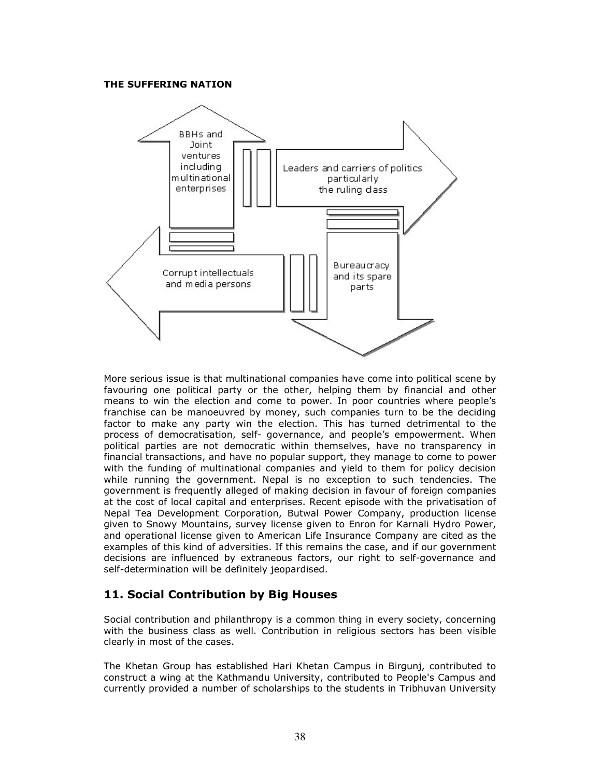### THE SUFFERING NATION



More serious issue is that multinational companies have come into political scene by favouring one political party or the other, helping them by financial and other means to win the election and come to power. In poor countries where people's franchise can be manoeuvred by money, such companies turn to be the deciding factor to make any party win the election. This has turned detrimental to the process of democratisation, self- governance, and people's empowerment. When political parties are not democratic within themselves, have no transparency in financial transactions, and have no popular support, they manage to come to power with the funding of multinational companies and yield to them for policy decision while running the government. Nepal is no exception to such tendencies. The government is frequently alleged of making decision in favour of foreign companies at the cost of local capital and enterprises. Recent episode with the privatisation of Nepal Tea Development Corporation, Butwal Power Company, production license given to Snowy Mountains, survey license given to Enron for Karnali Hydro Power, and operational license given to American Life Insurance Company are cited as the examples of this kind of adversities. If this remains the case, and if our government decisions are influenced by extraneous factors, our right to self-governance and self-determination will be definitely jeopardised.

# 11. Social Contribution by Big Houses

Social contribution and philanthropy is a common thing in every society, concerning with the business class as well. Contribution in religious sectors has been visible clearly in most of the cases.

The Khetan Group has established Hari Khetan Campus in Birgunj, contributed to construct a wing at the Kathmandu University, contributed to People's Campus and currently provided a number of scholarships to the students in Tribhuvan University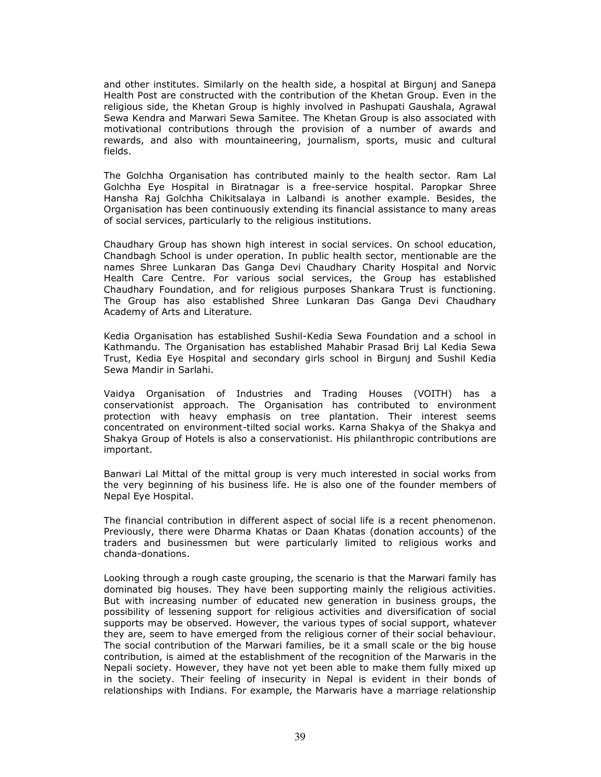and other institutes. Similarly on the health side, a hospital at Birgunj and Sanepa Health Post are constructed with the contribution of the Khetan Group. Even in the religious side, the Khetan Group is highly involved in Pashupati Gaushala, Agrawal Sewa Kendra and Marwari Sewa Samitee. The Khetan Group is also associated with motivational contributions through the provision of a number of awards and rewards, and also with mountaineering, journalism, sports, music and cultural fields.

The Golchha Organisation has contributed mainly to the health sector. Ram Lal Golchha Eye Hospital in Biratnagar is a free-service hospital. Paropkar Shree Hansha Raj Golchha Chikitsalaya in Lalbandi is another example. Besides, the Organisation has been continuously extending its financial assistance to many areas of social services, particularly to the religious institutions.

Chaudhary Group has shown high interest in social services. On school education, Chandbagh School is under operation. In public health sector, mentionable are the names Shree Lunkaran Das Ganga Devi Chaudhary Charity Hospital and Norvic Health Care Centre. For various social services, the Group has established Chaudhary Foundation, and for religious purposes Shankara Trust is functioning. The Group has also established Shree Lunkaran Das Ganga Devi Chaudhary Academy of Arts and Literature.

Kedia Organisation has established Sushil-Kedia Sewa Foundation and a school in Kathmandu. The Organisation has established Mahabir Prasad Brij Lal Kedia Sewa Trust, Kedia Eye Hospital and secondary girls school in Birgunj and Sushil Kedia Sewa Mandir in Sarlahi.

Vaidya Organisation of Industries and Trading Houses (VOITH) has a conservationist approach. The Organisation has contributed to environment protection with heavy emphasis on tree plantation. Their interest seems concentrated on environment-tilted social works. Karna Shakya of the Shakya and Shakya Group of Hotels is also a conservationist. His philanthropic contributions are important.

Banwari Lal Mittal of the mittal group is very much interested in social works from the very beginning of his business life. He is also one of the founder members of Nepal Eye Hospital.

The financial contribution in different aspect of social life is a recent phenomenon. Previously, there were Dharma Khatas or Daan Khatas (donation accounts) of the traders and businessmen but were particularly limited to religious works and chanda-donations.

Looking through a rough caste grouping, the scenario is that the Marwari family has dominated big houses. They have been supporting mainly the religious activities. But with increasing number of educated new generation in business groups, the possibility of lessening support for religious activities and diversification of social supports may be observed. However, the various types of social support, whatever they are, seem to have emerged from the religious corner of their social behaviour. The social contribution of the Marwari families, be it a small scale or the big house contribution, is aimed at the establishment of the recognition of the Marwaris in the Nepali society. However, they have not yet been able to make them fully mixed up in the society. Their feeling of insecurity in Nepal is evident in their bonds of relationships with Indians. For example, the Marwaris have a marriage relationship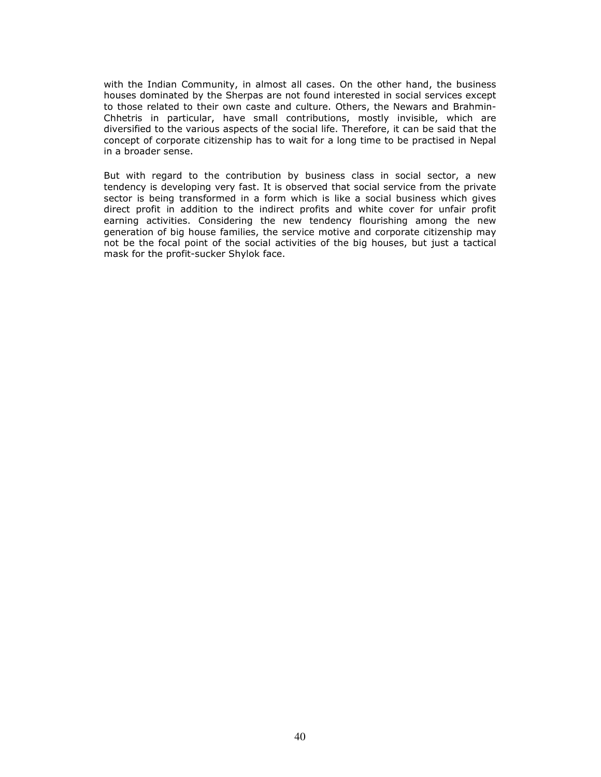with the Indian Community, in almost all cases. On the other hand, the business houses dominated by the Sherpas are not found interested in social services except to those related to their own caste and culture. Others, the Newars and Brahmin-Chhetris in particular, have small contributions, mostly invisible, which are diversified to the various aspects of the social life. Therefore, it can be said that the concept of corporate citizenship has to wait for a long time to be practised in Nepal in a broader sense.

But with regard to the contribution by business class in social sector, a new tendency is developing very fast. It is observed that social service from the private sector is being transformed in a form which is like a social business which gives direct profit in addition to the indirect profits and white cover for unfair profit earning activities. Considering the new tendency flourishing among the new generation of big house families, the service motive and corporate citizenship may not be the focal point of the social activities of the big houses, but just a tactical mask for the profit-sucker Shylok face.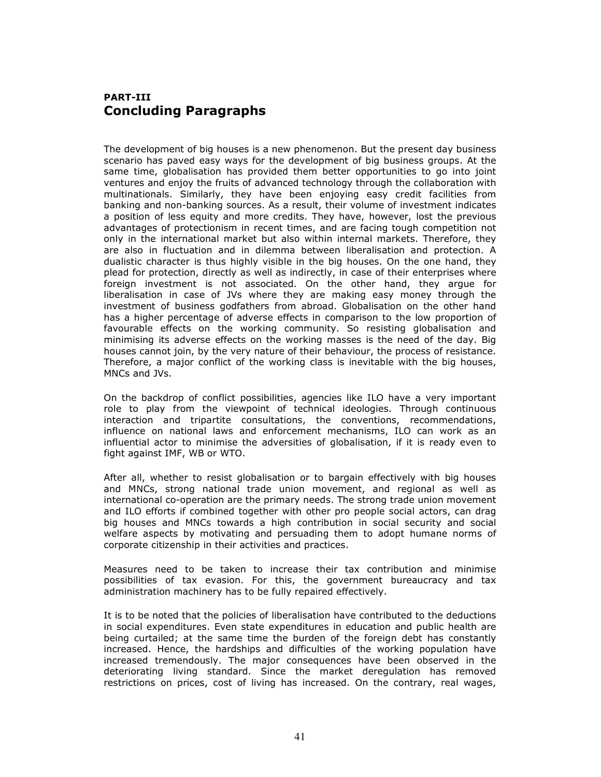# PART-III Concluding Paragraphs

The development of big houses is a new phenomenon. But the present day business scenario has paved easy ways for the development of big business groups. At the same time, globalisation has provided them better opportunities to go into joint ventures and enjoy the fruits of advanced technology through the collaboration with multinationals. Similarly, they have been enjoying easy credit facilities from banking and non-banking sources. As a result, their volume of investment indicates a position of less equity and more credits. They have, however, lost the previous advantages of protectionism in recent times, and are facing tough competition not only in the international market but also within internal markets. Therefore, they are also in fluctuation and in dilemma between liberalisation and protection. A dualistic character is thus highly visible in the big houses. On the one hand, they plead for protection, directly as well as indirectly, in case of their enterprises where foreign investment is not associated. On the other hand, they argue for liberalisation in case of JVs where they are making easy money through the investment of business godfathers from abroad. Globalisation on the other hand has a higher percentage of adverse effects in comparison to the low proportion of favourable effects on the working community. So resisting globalisation and minimising its adverse effects on the working masses is the need of the day. Big houses cannot join, by the very nature of their behaviour, the process of resistance. Therefore, a major conflict of the working class is inevitable with the big houses, MNCs and JVs.

On the backdrop of conflict possibilities, agencies like ILO have a very important role to play from the viewpoint of technical ideologies. Through continuous interaction and tripartite consultations, the conventions, recommendations, influence on national laws and enforcement mechanisms, ILO can work as an influential actor to minimise the adversities of globalisation, if it is ready even to fight against IMF, WB or WTO.

After all, whether to resist globalisation or to bargain effectively with big houses and MNCs, strong national trade union movement, and regional as well as international co-operation are the primary needs. The strong trade union movement and ILO efforts if combined together with other pro people social actors, can drag big houses and MNCs towards a high contribution in social security and social welfare aspects by motivating and persuading them to adopt humane norms of corporate citizenship in their activities and practices.

Measures need to be taken to increase their tax contribution and minimise possibilities of tax evasion. For this, the government bureaucracy and tax administration machinery has to be fully repaired effectively.

It is to be noted that the policies of liberalisation have contributed to the deductions in social expenditures. Even state expenditures in education and public health are being curtailed; at the same time the burden of the foreign debt has constantly increased. Hence, the hardships and difficulties of the working population have increased tremendously. The major consequences have been observed in the deteriorating living standard. Since the market deregulation has removed restrictions on prices, cost of living has increased. On the contrary, real wages,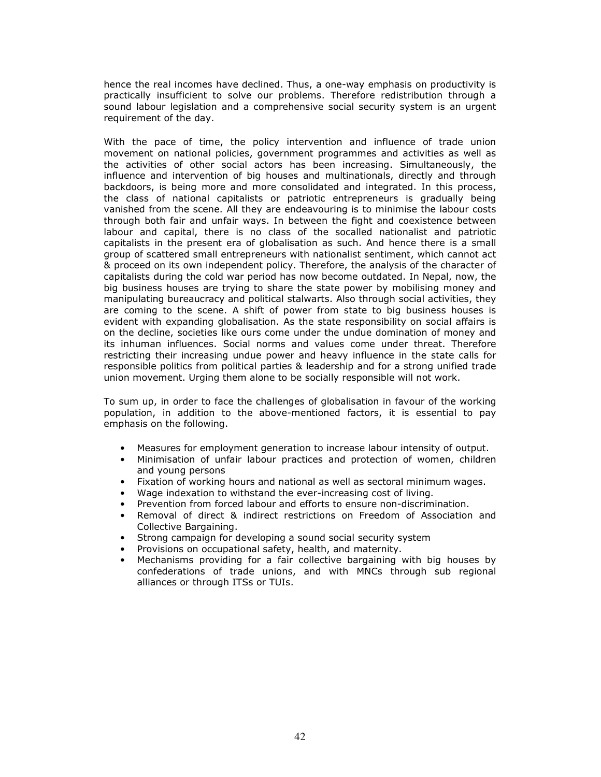hence the real incomes have declined. Thus, a one-way emphasis on productivity is practically insufficient to solve our problems. Therefore redistribution through a sound labour legislation and a comprehensive social security system is an urgent requirement of the day.

With the pace of time, the policy intervention and influence of trade union movement on national policies, government programmes and activities as well as the activities of other social actors has been increasing. Simultaneously, the influence and intervention of big houses and multinationals, directly and through backdoors, is being more and more consolidated and integrated. In this process, the class of national capitalists or patriotic entrepreneurs is gradually being vanished from the scene. All they are endeavouring is to minimise the labour costs through both fair and unfair ways. In between the fight and coexistence between labour and capital, there is no class of the socalled nationalist and patriotic capitalists in the present era of globalisation as such. And hence there is a small group of scattered small entrepreneurs with nationalist sentiment, which cannot act & proceed on its own independent policy. Therefore, the analysis of the character of capitalists during the cold war period has now become outdated. In Nepal, now, the big business houses are trying to share the state power by mobilising money and manipulating bureaucracy and political stalwarts. Also through social activities, they are coming to the scene. A shift of power from state to big business houses is evident with expanding globalisation. As the state responsibility on social affairs is on the decline, societies like ours come under the undue domination of money and its inhuman influences. Social norms and values come under threat. Therefore restricting their increasing undue power and heavy influence in the state calls for responsible politics from political parties & leadership and for a strong unified trade union movement. Urging them alone to be socially responsible will not work.

To sum up, in order to face the challenges of globalisation in favour of the working population, in addition to the above-mentioned factors, it is essential to pay emphasis on the following.

- Measures for employment generation to increase labour intensity of output.
- Minimisation of unfair labour practices and protection of women, children and young persons
- Fixation of working hours and national as well as sectoral minimum wages.
- Wage indexation to withstand the ever-increasing cost of living.
- Prevention from forced labour and efforts to ensure non-discrimination.
- Removal of direct & indirect restrictions on Freedom of Association and Collective Bargaining.
- Strong campaign for developing a sound social security system
- Provisions on occupational safety, health, and maternity.
- Mechanisms providing for a fair collective bargaining with big houses by confederations of trade unions, and with MNCs through sub regional alliances or through ITSs or TUIs.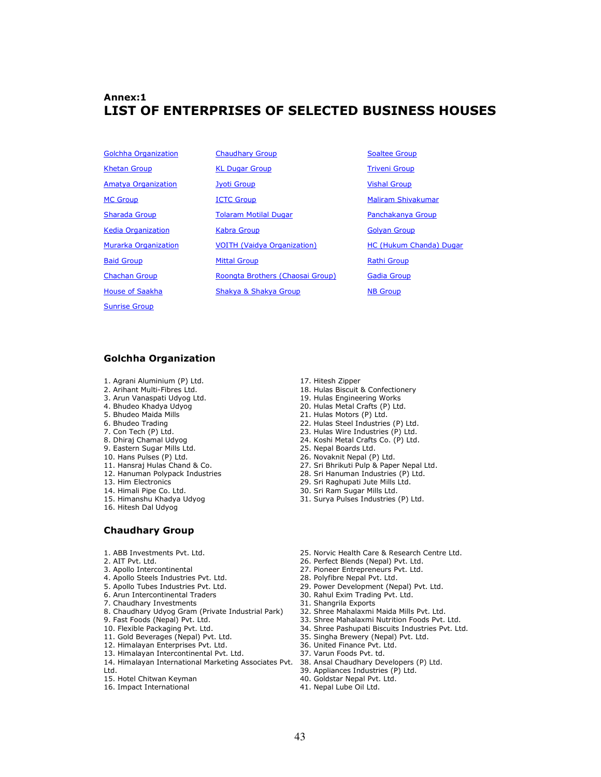# Annex:1 LIST OF ENTERPRISES OF SELECTED BUSINESS HOUSES

- Sunrise Group
- Golchha Organization Chaudhary Group Soaltee Group Khetan Group **KL Dugar Group** Triveni Group Amatya Organization and Jyoti Group Chronicle Vishal Group MC Group **ICTC Group** Maliram Shivakumar Sharada Group **Tolaram Motilal Dugar** Panchakanya Group Kedia Organization **Kabra Group** Golyan Group Golyan Group Murarka Organization VOITH (Vaidya Organization) HC (Hukum Chanda) Dugar Baid Group Mittal Group Rathi Group Chachan Group **Roongta Brothers (Chaosai Group)** Gadia Group House of Saakha Shakya & Shakya Group NB Group
	-

### Golchha Organization

- 
- 1. Agrani Aluminium (P) Ltd. 2. Arihant Multi-Fibres Ltd.
- 3. Arun Vanaspati Udyog Ltd.
- 4. Bhudeo Khadya Udyog
- 5. Bhudeo Maida Mills
- 6. Bhudeo Trading
- 7. Con Tech (P) Ltd.
- 8. Dhiraj Chamal Udyog
- 9. Eastern Sugar Mills Ltd.
- 10. Hans Pulses (P) Ltd.
- 11. Hansraj Hulas Chand & Co.
- 12. Hanuman Polypack Industries
- 13. Him Electronics
- 14. Himali Pipe Co. Ltd.
- 15. Himanshu Khadya Udyog
- 16. Hitesh Dal Udyog
- 17. Hitesh Zipper
- 18. Hulas Biscuit & Confectionery
- 19. Hulas Engineering Works
- 20. Hulas Metal Crafts (P) Ltd.
- 21. Hulas Motors (P) Ltd.
- 22. Hulas Steel Industries (P) Ltd. 23. Hulas Wire Industries (P) Ltd.
- 24. Koshi Metal Crafts Co. (P) Ltd.
- 25. Nepal Boards Ltd.
- 26. Novaknit Nepal (P) Ltd.
- 27. Sri Bhrikuti Pulp & Paper Nepal Ltd.
- 28. Sri Hanuman Industries (P) Ltd.
- 29. Sri Raghupati Jute Mills Ltd.
- 30. Sri Ram Sugar Mills Ltd.
- 31. Surya Pulses Industries (P) Ltd.

- Chaudhary Group
- 1. ABB Investments Pvt. Ltd.
- 2. AIT Pvt. Ltd.
- 3. Apollo Intercontinental
- 4. Apollo Steels Industries Pvt. Ltd.
- 5. Apollo Tubes Industries Pvt. Ltd.
- 6. Arun Intercontinental Traders
- 7. Chaudhary Investments
- 8. Chaudhary Udyog Gram (Private Industrial Park)
- 9. Fast Foods (Nepal) Pvt. Ltd.
- 10. Flexible Packaging Pvt. Ltd.
- 11. Gold Beverages (Nepal) Pvt. Ltd.
- 12. Himalayan Enterprises Pvt. Ltd.
- 13. Himalayan Intercontinental Pvt. Ltd.
- 14. Himalayan International Marketing Associates Pvt. Ltd.
- 15. Hotel Chitwan Keyman
- 16. Impact International
- 25. Norvic Health Care & Research Centre Ltd.
- 26. Perfect Blends (Nepal) Pvt. Ltd.
- 27. Pioneer Entrepreneurs Pvt. Ltd. 28. Polyfibre Nepal Pvt. Ltd.
- 29. Power Development (Nepal) Pvt. Ltd.
- 30. Rahul Exim Trading Pvt. Ltd.
- 31. Shangrila Exports
- 32. Shree Mahalaxmi Maida Mills Pvt. Ltd.
- 33. Shree Mahalaxmi Nutrition Foods Pvt. Ltd.
- 34. Shree Pashupati Biscuits Industries Pvt. Ltd.
- 35. Singha Brewery (Nepal) Pvt. Ltd.
- 36. United Finance Pvt. Ltd.
- 37. Varun Foods Pvt. td.
- 38. Ansal Chaudhary Developers (P) Ltd.
- 39. Appliances Industries (P) Ltd.
- 40. Goldstar Nepal Pvt. Ltd.
- 41. Nepal Lube Oil Ltd.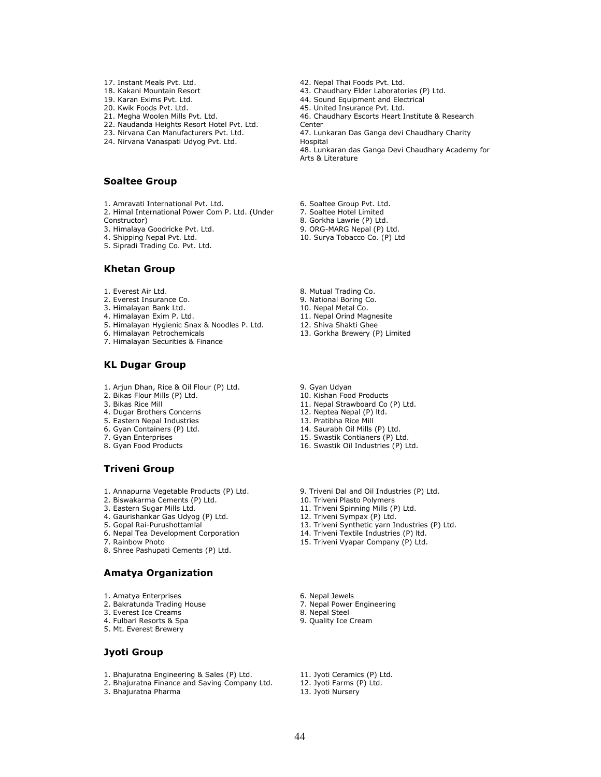- 17. Instant Meals Pvt. Ltd.
- 18. Kakani Mountain Resort
- 19. Karan Exims Pvt. Ltd.
- 20. Kwik Foods Pvt. Ltd.
- 21. Megha Woolen Mills Pvt. Ltd.
- 22. Naudanda Heights Resort Hotel Pvt. Ltd.
- 23. Nirvana Can Manufacturers Pvt. Ltd.
- 24. Nirvana Vanaspati Udyog Pvt. Ltd.

#### Soaltee Group

- 1. Amravati International Pvt. Ltd. 2. Himal International Power Com P. Ltd. (Under
- Constructor)
- 3. Himalaya Goodricke Pvt. Ltd.
- 4. Shipping Nepal Pvt. Ltd.
- 5. Sipradi Trading Co. Pvt. Ltd.

#### Khetan Group

- 1. Everest Air Ltd.
- 2. Everest Insurance Co.
- 3. Himalayan Bank Ltd.
- 4. Himalayan Exim P. Ltd.
- 5. Himalayan Hygienic Snax & Noodles P. Ltd.
- 6. Himalayan Petrochemicals
- 7. Himalayan Securities & Finance

#### KL Dugar Group

- 1. Arjun Dhan, Rice & Oil Flour (P) Ltd.
- 2. Bikas Flour Mills (P) Ltd.
- 3. Bikas Rice Mill
- 4. Dugar Brothers Concerns
- 5. Eastern Nepal Industries
- 6. Gyan Containers (P) Ltd.
- 7. Gyan Enterprises
- 8. Gyan Food Products

### Triveni Group

- 1. Annapurna Vegetable Products (P) Ltd.
- 2. Biswakarma Cements (P) Ltd.
- 3. Eastern Sugar Mills Ltd.
- 4. Gaurishankar Gas Udyog (P) Ltd.
- 5. Gopal Rai-Purushottamlal
- 6. Nepal Tea Development Corporation
- 7. Rainbow Photo
- 8. Shree Pashupati Cements (P) Ltd.

#### Amatya Organization

- 1. Amatya Enterprises
- 2. Bakratunda Trading House
- 3. Everest Ice Creams
- 4. Fulbari Resorts & Spa
- 5. Mt. Everest Brewery

### Jyoti Group

- 1. Bhajuratna Engineering & Sales (P) Ltd.
- 2. Bhajuratna Finance and Saving Company Ltd.

3. Bhajuratna Pharma

- 42. Nepal Thai Foods Pvt. Ltd.
- 43. Chaudhary Elder Laboratories (P) Ltd.
- 44. Sound Equipment and Electrical

45. United Insurance Pvt. Ltd.

- 46. Chaudhary Escorts Heart Institute & Research
- Center 47. Lunkaran Das Ganga devi Chaudhary Charity

Hospital

48. Lunkaran das Ganga Devi Chaudhary Academy for Arts & Literature

- 6. Soaltee Group Pvt. Ltd.
- 7. Soaltee Hotel Limited
- 8. Gorkha Lawrie (P) Ltd.
- 9. ORG-MARG Nepal (P) Ltd.
- 10. Surya Tobacco Co. (P) Ltd
- 8. Mutual Trading Co.
- 9. National Boring Co.
- 10. Nepal Metal Co.
- 11. Nepal Orind Magnesite 12. Shiva Shakti Ghee
- 
- 13. Gorkha Brewery (P) Limited

9. Gyan Udyan

- 10. Kishan Food Products
- 11. Nepal Strawboard Co (P) Ltd.
- 12. Neptea Nepal (P) ltd.
- 13. Pratibha Rice Mill
- 14. Saurabh Oil Mills (P) Ltd.
- 15. Swastik Contianers (P) Ltd.
- 16. Swastik Oil Industries (P) Ltd.
- 9. Triveni Dal and Oil Industries (P) Ltd.
- 10. Triveni Plasto Polymers
- 11. Triveni Spinning Mills (P) Ltd.
- 12. Triveni Sympax (P) Ltd.
- 13. Triveni Synthetic yarn Industries (P) Ltd.
- 14. Triveni Textile Industries (P) ltd. 15. Triveni Vyapar Company (P) Ltd.
- 
- 
- 
- 8. Nepal Steel
- 9. Quality Ice Cream
- 11. Jyoti Ceramics (P) Ltd.
- 12. Jyoti Farms (P) Ltd.
- 13. Jyoti Nursery
- 
- 6. Nepal Jewels
	- 7. Nepal Power Engineering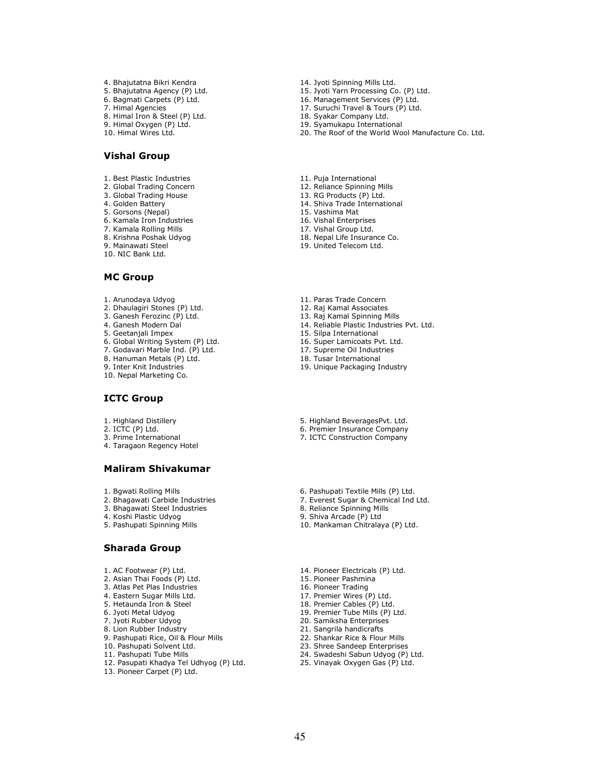4. Bhajutatna Bikri Kendra 5. Bhajutatna Agency (P) Ltd. 6. Bagmati Carpets (P) Ltd. 7. Himal Agencies 8. Himal Iron & Steel (P) Ltd. 9. Himal Oxygen (P) Ltd. 10. Himal Wires Ltd.

#### Vishal Group

- 1. Best Plastic Industries
- 2. Global Trading Concern
- 3. Global Trading House
- 4. Golden Battery
- 5. Gorsons (Nepal)
- 6. Kamala Iron Industries
- 7. Kamala Rolling Mills
- 8. Krishna Poshak Udyog
- 9. Mainawati Steel 10. NIC Bank Ltd.
- MC Group
- 1. Arunodaya Udyog
- 2. Dhaulagiri Stones (P) Ltd.
- 3. Ganesh Ferozinc (P) Ltd.
- 4. Ganesh Modern Dal
- 5. Geetanjali Impex
- 6. Global Writing System (P) Ltd.
- 7. Godavari Marble Ind. (P) Ltd.
- 8. Hanuman Metals (P) Ltd.
- 9. Inter Knit Industries
- 10. Nepal Marketing Co.

#### ICTC Group

- 1. Highland Distillery
- 2. ICTC (P) Ltd.
- 3. Prime International
- 4. Taragaon Regency Hotel

#### Maliram Shivakumar

- 1. Bgwati Rolling Mills
- 2. Bhagawati Carbide Industries
- 3. Bhagawati Steel Industries
- 4. Koshi Plastic Udyog
- 5. Pashupati Spinning Mills

#### Sharada Group

- 1. AC Footwear (P) Ltd.
- 2. Asian Thai Foods (P) Ltd.
- 3. Atlas Pet Plas Industries
- 4. Eastern Sugar Mills Ltd.
- 5. Hetaunda Iron & Steel
- 6. Jyoti Metal Udyog
- 7. Jyoti Rubber Udyog
- 8. Lion Rubber Industry 9. Pashupati Rice, Oil & Flour Mills
- 10. Pashupati Solvent Ltd.
- 11. Pashupati Tube Mills
- 12. Pasupati Khadya Tel Udhyog (P) Ltd.
- 13. Pioneer Carpet (P) Ltd.
- 14. Jyoti Spinning Mills Ltd.
- 15. Jyoti Yarn Processing Co. (P) Ltd.
- 16. Management Services (P) Ltd.
- 17. Suruchi Travel & Tours (P) Ltd.
- 18. Syakar Company Ltd. 19. Syamukapu International
- 20. The Roof of the World Wool Manufacture Co. Ltd.
- 11. Puja International
- 12. Reliance Spinning Mills
- 13. RG Products (P) Ltd.
- 14. Shiva Trade International
- 15. Vashima Mat
- 16. Vishal Enterprises
- 17. Vishal Group Ltd.
- 18. Nepal Life Insurance Co.
- 19. United Telecom Ltd.
- 11. Paras Trade Concern
- 12. Raj Kamal Associates
- 13. Raj Kamal Spinning Mills
- 14. Reliable Plastic Industries Pvt. Ltd.
- 15. Silpa International
- 16. Super Lamicoats Pvt. Ltd.
- 17. Supreme Oil Industries
- 18. Tusar International
- 19. Unique Packaging Industry
- 5. Highland BeveragesPvt. Ltd.
- 6. Premier Insurance Company
- 7. ICTC Construction Company
- 6. Pashupati Textile Mills (P) Ltd.
- 7. Everest Sugar & Chemical Ind Ltd.
- 8. Reliance Spinning Mills
- 9. Shiva Arcade (P) Ltd
- 10. Mankaman Chitralaya (P) Ltd.
- 14. Pioneer Electricals (P) Ltd.
- 15. Pioneer Pashmina
- 16. Pioneer Trading
- 17. Premier Wires (P) Ltd.
- 18. Premier Cables (P) Ltd. 19. Premier Tube Mills (P) Ltd.
- 20. Samiksha Enterprises
- 21. Sangrila handicrafts
- 22. Shankar Rice & Flour Mills
- 23. Shree Sandeep Enterprises
- 24. Swadeshi Sabun Udyog (P) Ltd.
- 25. Vinayak Oxygen Gas (P) Ltd.
- 45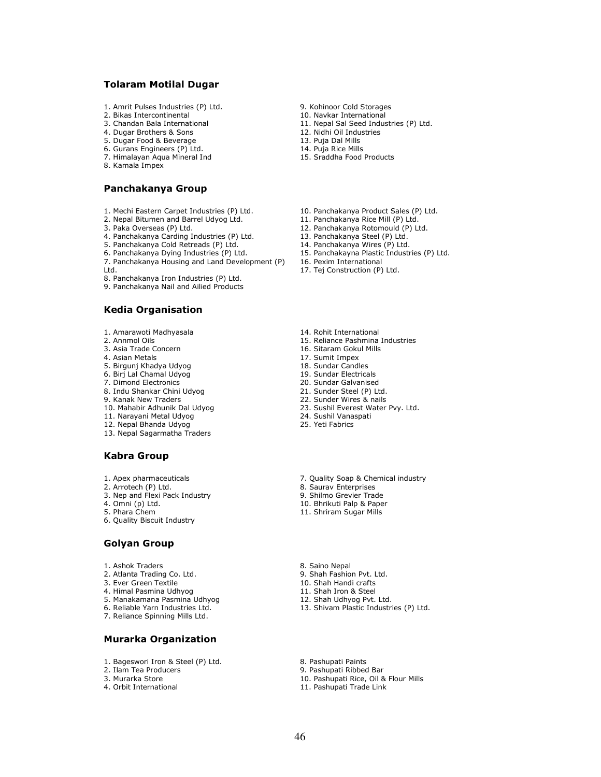#### Tolaram Motilal Dugar

- 1. Amrit Pulses Industries (P) Ltd.
- 2. Bikas Intercontinental
- 3. Chandan Bala International
- 4. Dugar Brothers & Sons
- 5. Dugar Food & Beverage
- 6. Gurans Engineers (P) Ltd. 7. Himalayan Aqua Mineral Ind
- 8. Kamala Impex

#### Panchakanya Group

- 1. Mechi Eastern Carpet Industries (P) Ltd.
- 2. Nepal Bitumen and Barrel Udyog Ltd.
- 3. Paka Overseas (P) Ltd.
- 4. Panchakanya Carding Industries (P) Ltd.
- 5. Panchakanya Cold Retreads (P) Ltd.
- 6. Panchakanya Dying Industries (P) Ltd.
- 7. Panchakanya Housing and Land Development (P) Ltd.
- 8. Panchakanya Iron Industries (P) Ltd.
- 9. Panchakanya Nail and Ailied Products

### Kedia Organisation

- 1. Amarawoti Madhyasala
- 2. Annmol Oils
- 3. Asia Trade Concern
- 4. Asian Metals
- 5. Birgunj Khadya Udyog
- 6. Birj Lal Chamal Udyog
- 7. Dimond Electronics
- 8. Indu Shankar Chini Udyog
- 9. Kanak New Traders
- 10. Mahabir Adhunik Dal Udyog
- 11. Narayani Metal Udyog
- 12. Nepal Bhanda Udyog
- 13. Nepal Sagarmatha Traders

#### Kabra Group

- 1. Apex pharmaceuticals
- 2. Arrotech (P) Ltd.
- 3. Nep and Flexi Pack Industry
- 4. Omni (p) Ltd.
- 5. Phara Chem
- 6. Quality Biscuit Industry

#### Golyan Group

- 1. Ashok Traders
- 2. Atlanta Trading Co. Ltd.
- 3. Ever Green Textile
- 4. Himal Pasmina Udhyog
- 5. Manakamana Pasmina Udhyog
- 6. Reliable Yarn Industries Ltd.
- 7. Reliance Spinning Mills Ltd.

### Murarka Organization

- 1. Bageswori Iron & Steel (P) Ltd.
- 2. Ilam Tea Producers
- 3. Murarka Store
- 4. Orbit International
- 9. Kohinoor Cold Storages
- 10. Navkar International
- 11. Nepal Sal Seed Industries (P) Ltd.
- 12. Nidhi Oil Industries
- 13. Puja Dal Mills 14. Puja Rice Mills
- 15. Sraddha Food Products
- 10. Panchakanya Product Sales (P) Ltd.
- 11. Panchakanya Rice Mill (P) Ltd.
- 12. Panchakanya Rotomould (P) Ltd.
- 13. Panchakanya Steel (P) Ltd.
- 14. Panchakanya Wires (P) Ltd.
- 15. Panchakayna Plastic Industries (P) Ltd.
- 16. Pexim International
- 17. Tej Construction (P) Ltd.
- 14. Rohit International
- 15. Reliance Pashmina Industries
- 16. Sitaram Gokul Mills
- 17. Sumit Impex
- 18. Sundar Candles
- 19. Sundar Electricals
- 20. Sundar Galvanised
- 21. Sunder Steel (P) Ltd. 22. Sunder Wires & nails
- 23. Sushil Everest Water Pvy. Ltd.
- 24. Sushil Vanaspati
- 25. Yeti Fabrics
- 7. Quality Soap & Chemical industry
- 8. Saurav Enterprises
- 9. Shilmo Grevier Trade
- 10. Bhrikuti Palp & Paper
- 11. Shriram Sugar Mills
- 8. Saino Nepal
- 9. Shah Fashion Pvt. Ltd.
- 10. Shah Handi crafts
- 11. Shah Iron & Steel
- 12. Shah Udhyog Pvt. Ltd.
- 13. Shivam Plastic Industries (P) Ltd.

8. Pashupati Paints

- 9. Pashupati Ribbed Bar
- 10. Pashupati Rice, Oil & Flour Mills
- 11. Pashupati Trade Link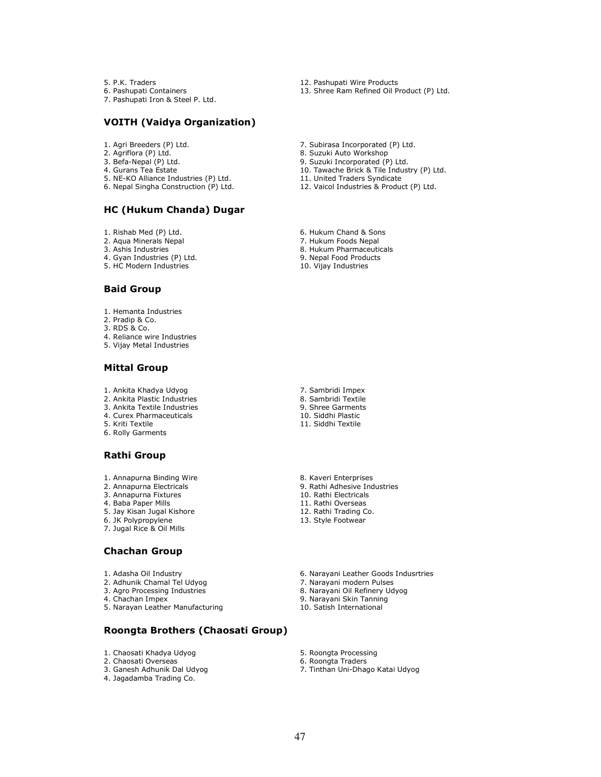5. P.K. Traders

- 6. Pashupati Containers
- 7. Pashupati Iron & Steel P. Ltd.

### VOITH (Vaidya Organization)

- 1. Agri Breeders (P) Ltd.
- 2. Agriflora (P) Ltd.
- 3. Befa-Nepal (P) Ltd.
- 4. Gurans Tea Estate
- 5. NE-KO Alliance Industries (P) Ltd.
- 6. Nepal Singha Construction (P) Ltd.

### HC (Hukum Chanda) Dugar

- 1. Rishab Med (P) Ltd.
- 2. Aqua Minerals Nepal
- 3. Ashis Industries
- 4. Gyan Industries (P) Ltd.
- 5. HC Modern Industries

#### Baid Group

- 1. Hemanta Industries
- 2. Pradip & Co.
- 3. RDS & Co.
- 4. Reliance wire Industries
- 5. Vijay Metal Industries

#### Mittal Group

- 1. Ankita Khadya Udyog
- 2. Ankita Plastic Industries
- 3. Ankita Textile Industries 4. Curex Pharmaceuticals
- 
- 5. Kriti Textile 6. Rolly Garments

### Rathi Group

- 1. Annapurna Binding Wire
- 2. Annapurna Electricals
- 3. Annapurna Fixtures
- 4. Baba Paper Mills
- 5. Jay Kisan Jugal Kishore
- 6. JK Polypropylene
- 7. Jugal Rice & Oil Mills

#### Chachan Group

- 1. Adasha Oil Industry
- 2. Adhunik Chamal Tel Udyog
- 3. Agro Processing Industries
- 4. Chachan Impex
- 5. Narayan Leather Manufacturing

## Roongta Brothers (Chaosati Group)

- 1. Chaosati Khadya Udyog
- 2. Chaosati Overseas
- 3. Ganesh Adhunik Dal Udyog
- 4. Jagadamba Trading Co.
- 12. Pashupati Wire Products
- 13. Shree Ram Refined Oil Product (P) Ltd.
- 7. Subirasa Incorporated (P) Ltd.
- 8. Suzuki Auto Workshop
- 9. Suzuki Incorporated (P) Ltd.
- 10. Tawache Brick & Tile Industry (P) Ltd. 11. United Traders Syndicate
- 12. Vaicol Industries & Product (P) Ltd.
- 6. Hukum Chand & Sons
- 7. Hukum Foods Nepal
- 8. Hukum Pharmaceuticals
- 9. Nepal Food Products
- 10. Vijay Industries

- 7. Sambridi Impex 8. Sambridi Textile 9. Shree Garments 10. Siddhi Plastic
- 11. Siddhi Textile
- 8. Kaveri Enterprises 9. Rathi Adhesive Industries 10. Rathi Electricals 11. Rathi Overseas 12. Rathi Trading Co. 13. Style Footwear
- 6. Narayani Leather Goods Indusrtries
- 7. Narayani modern Pulses
- 8. Narayani Oil Refinery Udyog
- 9. Narayani Skin Tanning
- 10. Satish International
- 5. Roongta Processing
- 6. Roongta Traders
- 7. Tinthan Uni-Dhago Katai Udyog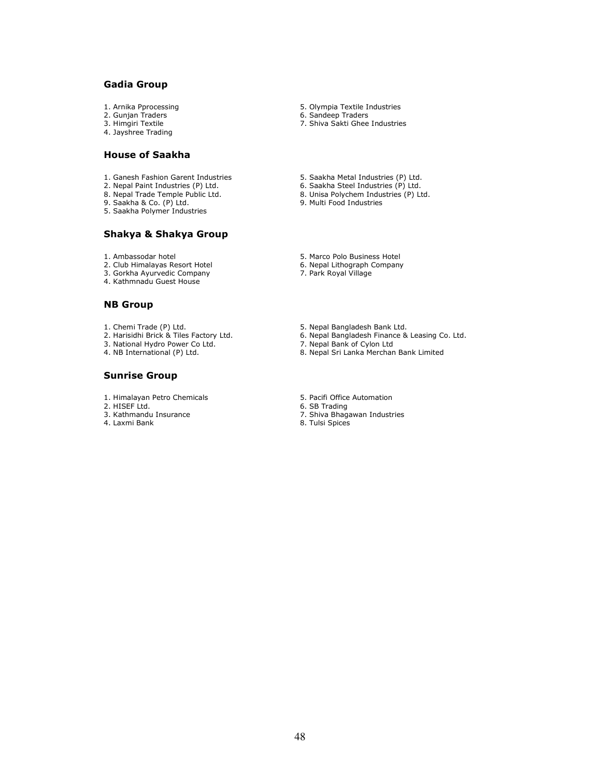### Gadia Group

- 1. Arnika Pprocessing
- 2. Gunjan Traders
- 3. Himgiri Textile
- 4. Jayshree Trading

### House of Saakha

- 1. Ganesh Fashion Garent Industries
- 2. Nepal Paint Industries (P) Ltd.
- 8. Nepal Trade Temple Public Ltd.
- 9. Saakha & Co. (P) Ltd.
- 5. Saakha Polymer Industries

#### Shakya & Shakya Group

- 1. Ambassodar hotel
- 2. Club Himalayas Resort Hotel
- 3. Gorkha Ayurvedic Company
- 4. Kathmnadu Guest House

#### NB Group

- 1. Chemi Trade (P) Ltd.
- 2. Harisidhi Brick & Tiles Factory Ltd.
- 3. National Hydro Power Co Ltd.
- 4. NB International (P) Ltd.

#### Sunrise Group

- 1. Himalayan Petro Chemicals
- 2. HISEF Ltd.
- 3. Kathmandu Insurance
- 4. Laxmi Bank
- 5. Olympia Textile Industries
- 6. Sandeep Traders
- 7. Shiva Sakti Ghee Industries
	-
- 5. Saakha Metal Industries (P) Ltd.
- 6. Saakha Steel Industries (P) Ltd.
- 8. Unisa Polychem Industries (P) Ltd.
- 9. Multi Food Industries
- 5. Marco Polo Business Hotel
- 6. Nepal Lithograph Company
- 7. Park Royal Village
- 5. Nepal Bangladesh Bank Ltd.
- 6. Nepal Bangladesh Finance & Leasing Co. Ltd.
- 7. Nepal Bank of Cylon Ltd
- 8. Nepal Sri Lanka Merchan Bank Limited
- 5. Pacifi Office Automation
- 6. SB Trading
- 7. Shiva Bhagawan Industries
- 8. Tulsi Spices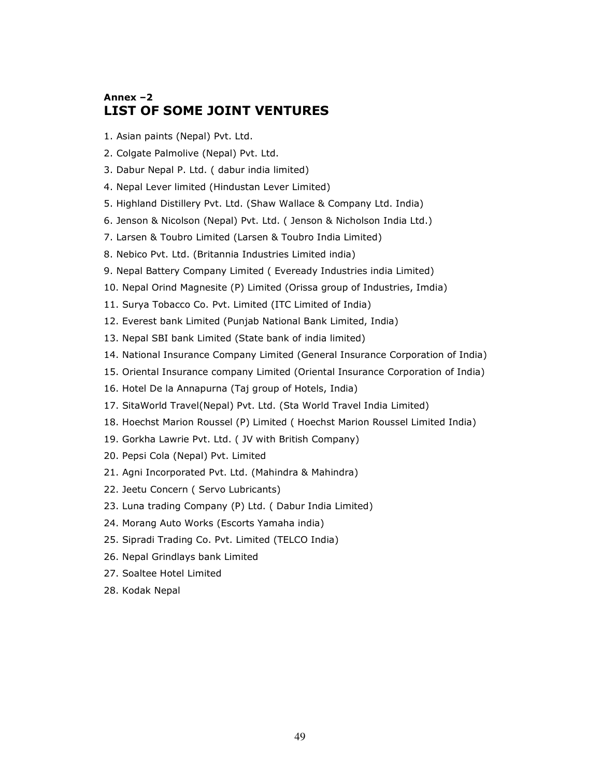# Annex –2 LIST OF SOME JOINT VENTURES

- 1. Asian paints (Nepal) Pvt. Ltd.
- 2. Colgate Palmolive (Nepal) Pvt. Ltd.
- 3. Dabur Nepal P. Ltd. ( dabur india limited)
- 4. Nepal Lever limited (Hindustan Lever Limited)
- 5. Highland Distillery Pvt. Ltd. (Shaw Wallace & Company Ltd. India)
- 6. Jenson & Nicolson (Nepal) Pvt. Ltd. ( Jenson & Nicholson India Ltd.)
- 7. Larsen & Toubro Limited (Larsen & Toubro India Limited)
- 8. Nebico Pvt. Ltd. (Britannia Industries Limited india)
- 9. Nepal Battery Company Limited ( Eveready Industries india Limited)
- 10. Nepal Orind Magnesite (P) Limited (Orissa group of Industries, Imdia)
- 11. Surya Tobacco Co. Pvt. Limited (ITC Limited of India)
- 12. Everest bank Limited (Punjab National Bank Limited, India)
- 13. Nepal SBI bank Limited (State bank of india limited)
- 14. National Insurance Company Limited (General Insurance Corporation of India)
- 15. Oriental Insurance company Limited (Oriental Insurance Corporation of India)
- 16. Hotel De la Annapurna (Taj group of Hotels, India)
- 17. SitaWorld Travel(Nepal) Pvt. Ltd. (Sta World Travel India Limited)
- 18. Hoechst Marion Roussel (P) Limited ( Hoechst Marion Roussel Limited India)
- 19. Gorkha Lawrie Pvt. Ltd. ( JV with British Company)
- 20. Pepsi Cola (Nepal) Pvt. Limited
- 21. Agni Incorporated Pvt. Ltd. (Mahindra & Mahindra)
- 22. Jeetu Concern ( Servo Lubricants)
- 23. Luna trading Company (P) Ltd. ( Dabur India Limited)
- 24. Morang Auto Works (Escorts Yamaha india)
- 25. Sipradi Trading Co. Pvt. Limited (TELCO India)
- 26. Nepal Grindlays bank Limited
- 27. Soaltee Hotel Limited
- 28. Kodak Nepal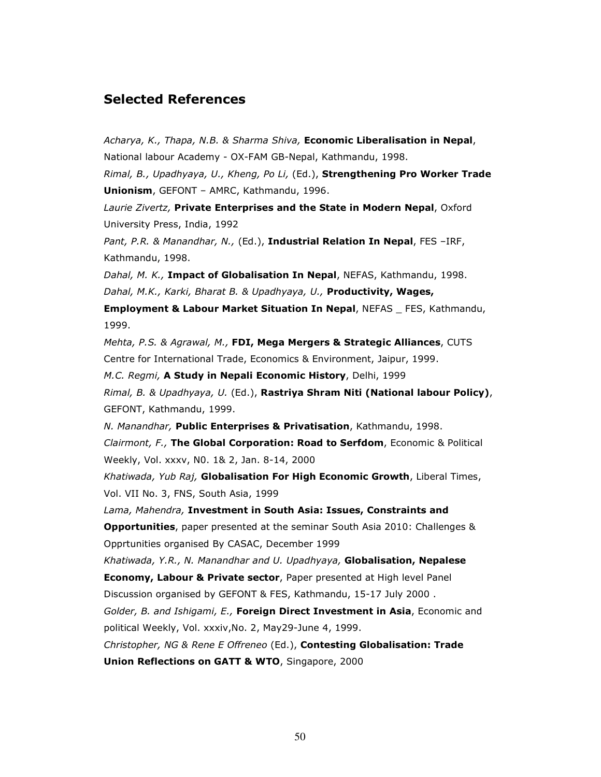# Selected References

Acharya, K., Thapa, N.B. & Sharma Shiva, Economic Liberalisation in Nepal, National labour Academy - OX-FAM GB-Nepal, Kathmandu, 1998.

Rimal, B., Upadhyaya, U., Kheng, Po Li, (Ed.), Strengthening Pro Worker Trade Unionism, GEFONT – AMRC, Kathmandu, 1996.

Laurie Zivertz, Private Enterprises and the State in Modern Nepal, Oxford University Press, India, 1992

Pant, P.R. & Manandhar, N., (Ed.), Industrial Relation In Nepal, FES -IRF, Kathmandu, 1998.

Dahal, M. K., Impact of Globalisation In Nepal, NEFAS, Kathmandu, 1998. Dahal, M.K., Karki, Bharat B. & Upadhyaya, U., Productivity, Wages,

Employment & Labour Market Situation In Nepal, NEFAS FES, Kathmandu, 1999.

Mehta, P.S. & Agrawal, M., FDI, Mega Mergers & Strategic Alliances, CUTS Centre for International Trade, Economics & Environment, Jaipur, 1999.

M.C. Regmi, A Study in Nepali Economic History, Delhi, 1999

Rimal, B. & Upadhyaya, U. (Ed.), Rastriya Shram Niti (National labour Policy), GEFONT, Kathmandu, 1999.

N. Manandhar, Public Enterprises & Privatisation, Kathmandu, 1998.

Clairmont, F., The Global Corporation: Road to Serfdom, Economic & Political Weekly, Vol. xxxv, N0. 1& 2, Jan. 8-14, 2000

Khatiwada, Yub Raj, Globalisation For High Economic Growth, Liberal Times, Vol. VII No. 3, FNS, South Asia, 1999

Lama, Mahendra, Investment in South Asia: Issues, Constraints and Opportunities, paper presented at the seminar South Asia 2010: Challenges & Opprtunities organised By CASAC, December 1999

Khatiwada, Y.R., N. Manandhar and U. Upadhyaya, Globalisation, Nepalese

**Economy, Labour & Private sector**, Paper presented at High level Panel Discussion organised by GEFONT & FES, Kathmandu, 15-17 July 2000 .

Golder, B. and Ishigami, E., Foreign Direct Investment in Asia, Economic and political Weekly, Vol. xxxiv,No. 2, May29-June 4, 1999.

Christopher, NG & Rene E Offreneo (Ed.), Contesting Globalisation: Trade Union Reflections on GATT & WTO, Singapore, 2000

50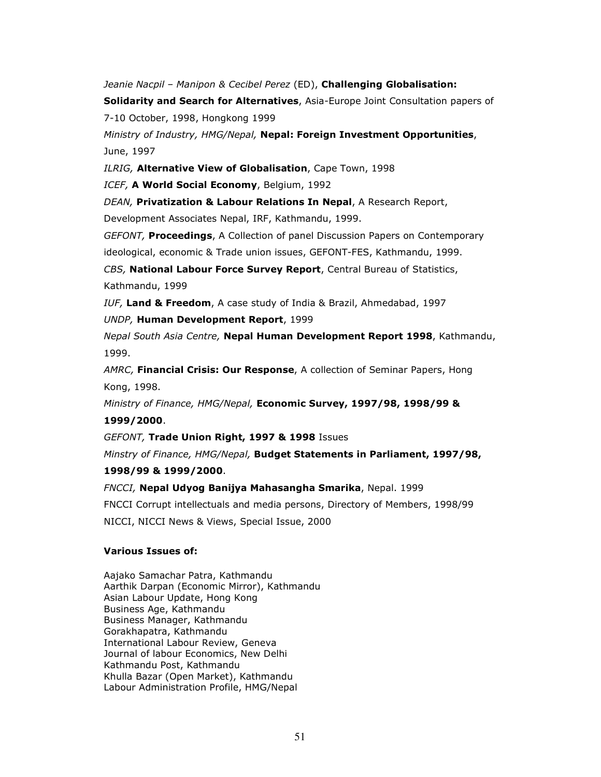Jeanie Nacpil - Manipon & Cecibel Perez (ED), Challenging Globalisation:

Solidarity and Search for Alternatives, Asia-Europe Joint Consultation papers of 7-10 October, 1998, Hongkong 1999

Ministry of Industry, HMG/Nepal, Nepal: Foreign Investment Opportunities, June, 1997

ILRIG, Alternative View of Globalisation, Cape Town, 1998

ICEF, A World Social Economy, Belgium, 1992

DEAN, Privatization & Labour Relations In Nepal, A Research Report,

Development Associates Nepal, IRF, Kathmandu, 1999.

GEFONT, Proceedings, A Collection of panel Discussion Papers on Contemporary ideological, economic & Trade union issues, GEFONT-FES, Kathmandu, 1999.

CBS, National Labour Force Survey Report, Central Bureau of Statistics, Kathmandu, 1999

IUF, Land & Freedom, A case study of India & Brazil, Ahmedabad, 1997

UNDP, Human Development Report, 1999

Nepal South Asia Centre, Nepal Human Development Report 1998, Kathmandu, 1999.

AMRC, Financial Crisis: Our Response, A collection of Seminar Papers, Hong Kong, 1998.

Ministry of Finance, HMG/Nepal, Economic Survey, 1997/98, 1998/99 &

1999/2000.

GEFONT, Trade Union Right, 1997 & 1998 Issues

Minstry of Finance, HMG/Nepal, Budget Statements in Parliament, 1997/98,

### 1998/99 & 1999/2000.

FNCCI, Nepal Udyog Banijya Mahasangha Smarika, Nepal. 1999 FNCCI Corrupt intellectuals and media persons, Directory of Members, 1998/99 NICCI, NICCI News & Views, Special Issue, 2000

### Various Issues of:

Aajako Samachar Patra, Kathmandu Aarthik Darpan (Economic Mirror), Kathmandu Asian Labour Update, Hong Kong Business Age, Kathmandu Business Manager, Kathmandu Gorakhapatra, Kathmandu International Labour Review, Geneva Journal of labour Economics, New Delhi Kathmandu Post, Kathmandu Khulla Bazar (Open Market), Kathmandu Labour Administration Profile, HMG/Nepal